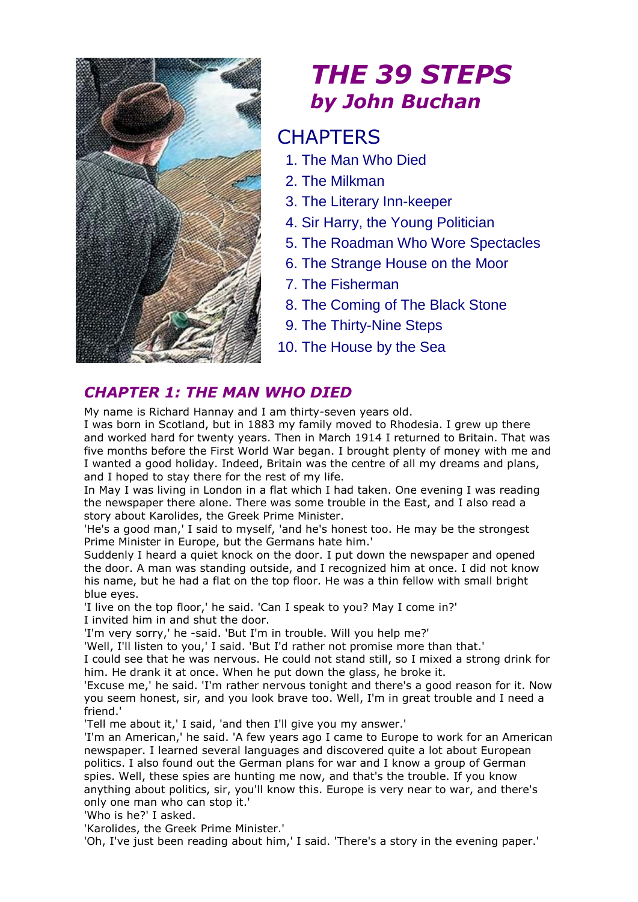

# *THE 39 STEPS by John Buchan*

# **CHAPTERS**

- 1. The Man Who Died
- 2. The Milkman
- 3. The Literary Inn-keeper
- 4. Sir Harry, the Young Politician
- 5. The Roadman Who Wore Spectacles
- 6. The Strange House on the Moor
- 7. The Fisherman
- 8. The Coming of The Black Stone
- 9. The Thirty-Nine Steps
- 10. The House by the Sea

## *CHAPTER 1: THE MAN WHO DIED*

My name is Richard Hannay and I am thirty-seven years old.

I was born in Scotland, but in 1883 my family moved to Rhodesia. I grew up there and worked hard for twenty years. Then in March 1914 I returned to Britain. That was five months before the First World War began. I brought plenty of money with me and I wanted a good holiday. Indeed, Britain was the centre of all my dreams and plans, and I hoped to stay there for the rest of my life.

In May I was living in London in a flat which I had taken. One evening I was reading the newspaper there alone. There was some trouble in the East, and I also read a story about Karolides, the Greek Prime Minister.

'He's a good man,' I said to myself, 'and he's honest too. He may be the strongest Prime Minister in Europe, but the Germans hate him.'

Suddenly I heard a quiet knock on the door. I put down the newspaper and opened the door. A man was standing outside, and I recognized him at once. I did not know his name, but he had a flat on the top floor. He was a thin fellow with small bright blue eyes.

'I live on the top floor,' he said. 'Can I speak to you? May I come in?' I invited him in and shut the door.

'I'm very sorry,' he -said. 'But I'm in trouble. Will you help me?'

'Well, I'll listen to you,' I said. 'But I'd rather not promise more than that.'

I could see that he was nervous. He could not stand still, so I mixed a strong drink for him. He drank it at once. When he put down the glass, he broke it.

'Excuse me,' he said. 'I'm rather nervous tonight and there's a good reason for it. Now you seem honest, sir, and you look brave too. Well, I'm in great trouble and I need a friend.'

'Tell me about it,' I said, 'and then I'll give you my answer.'

'I'm an American,' he said. 'A few years ago I came to Europe to work for an American newspaper. I learned several languages and discovered quite a lot about European politics. I also found out the German plans for war and I know a group of German spies. Well, these spies are hunting me now, and that's the trouble. If you know anything about politics, sir, you'll know this. Europe is very near to war, and there's only one man who can stop it.'

'Who is he?' I asked.

'Karolides, the Greek Prime Minister.'

'Oh, I've just been reading about him,' I said. 'There's a story in the evening paper.'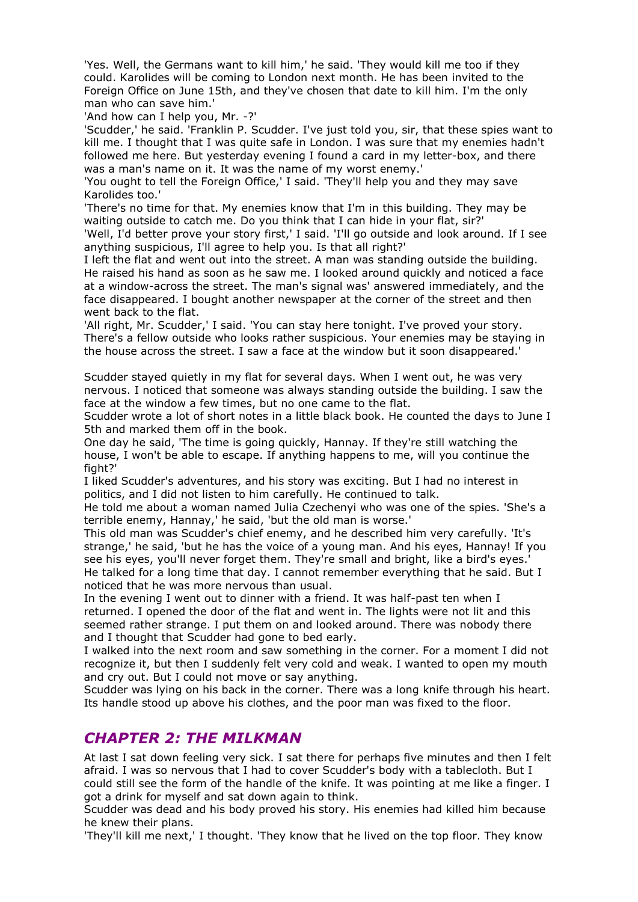'Yes. Well, the Germans want to kill him,' he said. 'They would kill me too if they could. Karolides will be coming to London next month. He has been invited to the Foreign Office on June 15th, and they've chosen that date to kill him. I'm the only man who can save him.'

'And how can I help you, Mr. -?'

'Scudder,' he said. 'Franklin P. Scudder. I've just told you, sir, that these spies want to kill me. I thought that I was quite safe in London. I was sure that my enemies hadn't followed me here. But yesterday evening I found a card in my letter-box, and there was a man's name on it. It was the name of my worst enemy.'

'You ought to tell the Foreign Office,' I said. 'They'll help you and they may save Karolides too.'

'There's no time for that. My enemies know that I'm in this building. They may be waiting outside to catch me. Do you think that I can hide in your flat, sir?'

'Well, I'd better prove your story first,' I said. 'I'll go outside and look around. If I see anything suspicious, I'll agree to help you. Is that all right?'

I left the flat and went out into the street. A man was standing outside the building. He raised his hand as soon as he saw me. I looked around quickly and noticed a face at a window-across the street. The man's signal was' answered immediately, and the face disappeared. I bought another newspaper at the corner of the street and then went back to the flat.

'All right, Mr. Scudder,' I said. 'You can stay here tonight. I've proved your story. There's a fellow outside who looks rather suspicious. Your enemies may be staying in the house across the street. I saw a face at the window but it soon disappeared.'

Scudder stayed quietly in my flat for several days. When I went out, he was very nervous. I noticed that someone was always standing outside the building. I saw the face at the window a few times, but no one came to the flat.

Scudder wrote a lot of short notes in a little black book. He counted the days to June I 5th and marked them off in the book.

One day he said, 'The time is going quickly, Hannay. If they're still watching the house, I won't be able to escape. If anything happens to me, will you continue the fight?'

I liked Scudder's adventures, and his story was exciting. But I had no interest in politics, and I did not listen to him carefully. He continued to talk.

He told me about a woman named Julia Czechenyi who was one of the spies. 'She's a terrible enemy, Hannay,' he said, 'but the old man is worse.'

This old man was Scudder's chief enemy, and he described him very carefully. 'It's strange,' he said, 'but he has the voice of a young man. And his eyes, Hannay! If you see his eyes, you'll never forget them. They're small and bright, like a bird's eyes.' He talked for a long time that day. I cannot remember everything that he said. But I noticed that he was more nervous than usual.

In the evening I went out to dinner with a friend. It was half-past ten when I returned. I opened the door of the flat and went in. The lights were not lit and this seemed rather strange. I put them on and looked around. There was nobody there and I thought that Scudder had gone to bed early.

I walked into the next room and saw something in the corner. For a moment I did not recognize it, but then I suddenly felt very cold and weak. I wanted to open my mouth and cry out. But I could not move or say anything.

Scudder was lying on his back in the corner. There was a long knife through his heart. Its handle stood up above his clothes, and the poor man was fixed to the floor.

#### *CHAPTER 2: THE MILKMAN*

At last I sat down feeling very sick. I sat there for perhaps five minutes and then I felt afraid. I was so nervous that I had to cover Scudder's body with a tablecloth. But I could still see the form of the handle of the knife. It was pointing at me like a finger. I got a drink for myself and sat down again to think.

Scudder was dead and his body proved his story. His enemies had killed him because he knew their plans.

'They'll kill me next,' I thought. 'They know that he lived on the top floor. They know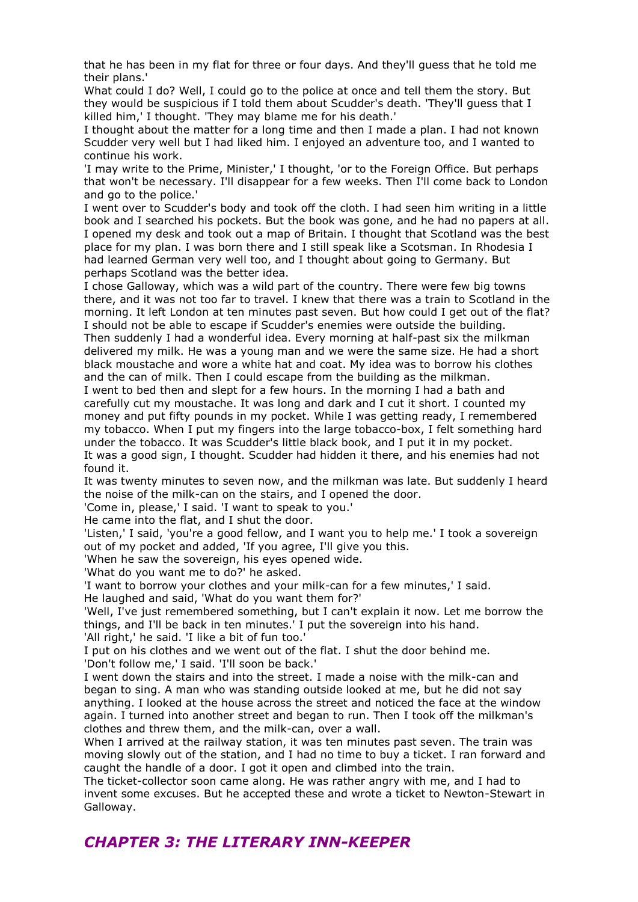that he has been in my flat for three or four days. And they'll guess that he told me their plans.'

What could I do? Well, I could go to the police at once and tell them the story. But they would be suspicious if I told them about Scudder's death. 'They'll guess that I killed him,' I thought. 'They may blame me for his death.'

I thought about the matter for a long time and then I made a plan. I had not known Scudder very well but I had liked him. I enjoyed an adventure too, and I wanted to continue his work.

'I may write to the Prime, Minister,' I thought, 'or to the Foreign Office. But perhaps that won't be necessary. I'll disappear for a few weeks. Then I'll come back to London and go to the police.'

I went over to Scudder's body and took off the cloth. I had seen him writing in a little book and I searched his pockets. But the book was gone, and he had no papers at all. I opened my desk and took out a map of Britain. I thought that Scotland was the best place for my plan. I was born there and I still speak like a Scotsman. In Rhodesia I had learned German very well too, and I thought about going to Germany. But perhaps Scotland was the better idea.

I chose Galloway, which was a wild part of the country. There were few big towns there, and it was not too far to travel. I knew that there was a train to Scotland in the morning. It left London at ten minutes past seven. But how could I get out of the flat? I should not be able to escape if Scudder's enemies were outside the building. Then suddenly I had a wonderful idea. Every morning at half-past six the milkman delivered my milk. He was a young man and we were the same size. He had a short black moustache and wore a white hat and coat. My idea was to borrow his clothes and the can of milk. Then I could escape from the building as the milkman.

I went to bed then and slept for a few hours. In the morning I had a bath and carefully cut my moustache. It was long and dark and I cut it short. I counted my money and put fifty pounds in my pocket. While I was getting ready, I remembered my tobacco. When I put my fingers into the large tobacco-box, I felt something hard under the tobacco. It was Scudder's little black book, and I put it in my pocket. It was a good sign, I thought. Scudder had hidden it there, and his enemies had not found it.

It was twenty minutes to seven now, and the milkman was late. But suddenly I heard the noise of the milk-can on the stairs, and I opened the door.

'Come in, please,' I said. 'I want to speak to you.'

He came into the flat, and I shut the door.

'Listen,' I said, 'you're a good fellow, and I want you to help me.' I took a sovereign out of my pocket and added, 'If you agree, I'll give you this.

'When he saw the sovereign, his eyes opened wide.

'What do you want me to do?' he asked.

'I want to borrow your clothes and your milk-can for a few minutes,' I said.

He laughed and said, 'What do you want them for?'

'Well, I've just remembered something, but I can't explain it now. Let me borrow the things, and I'll be back in ten minutes.' I put the sovereign into his hand.

'All right,' he said. 'I like a bit of fun too.'

I put on his clothes and we went out of the flat. I shut the door behind me. 'Don't follow me,' I said. 'I'll soon be back.'

I went down the stairs and into the street. I made a noise with the milk-can and began to sing. A man who was standing outside looked at me, but he did not say anything. I looked at the house across the street and noticed the face at the window again. I turned into another street and began to run. Then I took off the milkman's clothes and threw them, and the milk-can, over a wall.

When I arrived at the railway station, it was ten minutes past seven. The train was moving slowly out of the station, and I had no time to buy a ticket. I ran forward and caught the handle of a door. I got it open and climbed into the train.

The ticket-collector soon came along. He was rather angry with me, and I had to invent some excuses. But he accepted these and wrote a ticket to Newton-Stewart in Galloway.

### *CHAPTER 3: THE LITERARY INN-KEEPER*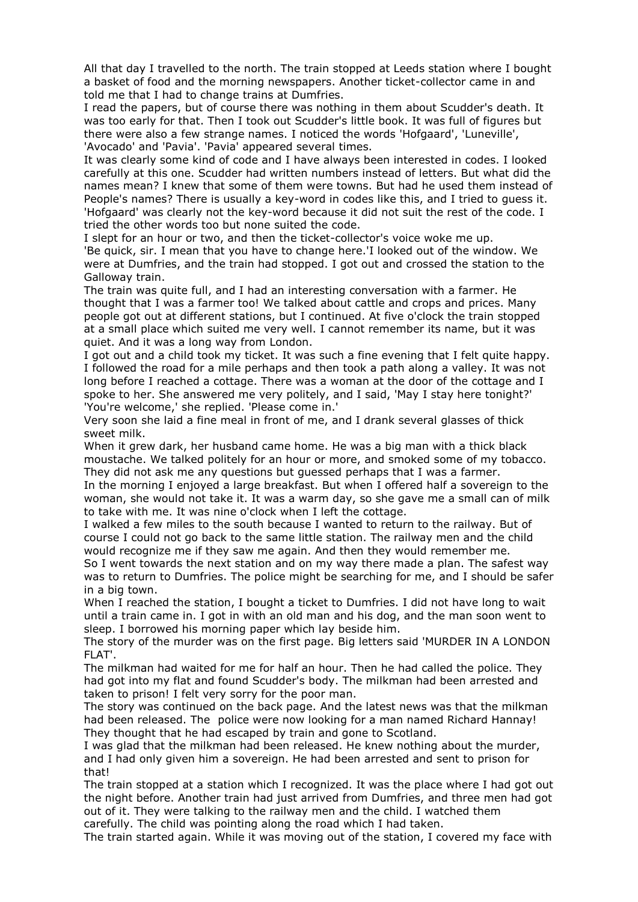All that day I travelled to the north. The train stopped at Leeds station where I bought a basket of food and the morning newspapers. Another ticket-collector came in and told me that I had to change trains at Dumfries.

I read the papers, but of course there was nothing in them about Scudder's death. It was too early for that. Then I took out Scudder's little book. It was full of figures but there were also a few strange names. I noticed the words 'Hofgaard', 'Luneville', 'Avocado' and 'Pavia'. 'Pavia' appeared several times.

It was clearly some kind of code and I have always been interested in codes. I looked carefully at this one. Scudder had written numbers instead of letters. But what did the names mean? I knew that some of them were towns. But had he used them instead of People's names? There is usually a key-word in codes like this, and I tried to guess it. 'Hofgaard' was clearly not the key-word because it did not suit the rest of the code. I tried the other words too but none suited the code.

I slept for an hour or two, and then the ticket-collector's voice woke me up. 'Be quick, sir. I mean that you have to change here.'I looked out of the window. We were at Dumfries, and the train had stopped. I got out and crossed the station to the Galloway train.

The train was quite full, and I had an interesting conversation with a farmer. He thought that I was a farmer too! We talked about cattle and crops and prices. Many people got out at different stations, but I continued. At five o'clock the train stopped at a small place which suited me very well. I cannot remember its name, but it was quiet. And it was a long way from London.

I got out and a child took my ticket. It was such a fine evening that I felt quite happy. I followed the road for a mile perhaps and then took a path along a valley. It was not long before I reached a cottage. There was a woman at the door of the cottage and I spoke to her. She answered me very politely, and I said, 'May I stay here tonight?' 'You're welcome,' she replied. 'Please come in.'

Very soon she laid a fine meal in front of me, and I drank several glasses of thick sweet milk.

When it grew dark, her husband came home. He was a big man with a thick black moustache. We talked politely for an hour or more, and smoked some of my tobacco. They did not ask me any questions but guessed perhaps that I was a farmer.

In the morning I enjoyed a large breakfast. But when I offered half a sovereign to the woman, she would not take it. It was a warm day, so she gave me a small can of milk to take with me. It was nine o'clock when I left the cottage.

I walked a few miles to the south because I wanted to return to the railway. But of course I could not go back to the same little station. The railway men and the child would recognize me if they saw me again. And then they would remember me.

So I went towards the next station and on my way there made a plan. The safest way was to return to Dumfries. The police might be searching for me, and I should be safer in a big town.

When I reached the station, I bought a ticket to Dumfries. I did not have long to wait until a train came in. I got in with an old man and his dog, and the man soon went to sleep. I borrowed his morning paper which lay beside him.

The story of the murder was on the first page. Big letters said 'MURDER IN A LONDON FLAT'.

The milkman had waited for me for half an hour. Then he had called the police. They had got into my flat and found Scudder's body. The milkman had been arrested and taken to prison! I felt very sorry for the poor man.

The story was continued on the back page. And the latest news was that the milkman had been released. The police were now looking for a man named Richard Hannay! They thought that he had escaped by train and gone to Scotland.

I was glad that the milkman had been released. He knew nothing about the murder, and I had only given him a sovereign. He had been arrested and sent to prison for that!

The train stopped at a station which I recognized. It was the place where I had got out the night before. Another train had just arrived from Dumfries, and three men had got out of it. They were talking to the railway men and the child. I watched them carefully. The child was pointing along the road which I had taken.

The train started again. While it was moving out of the station, I covered my face with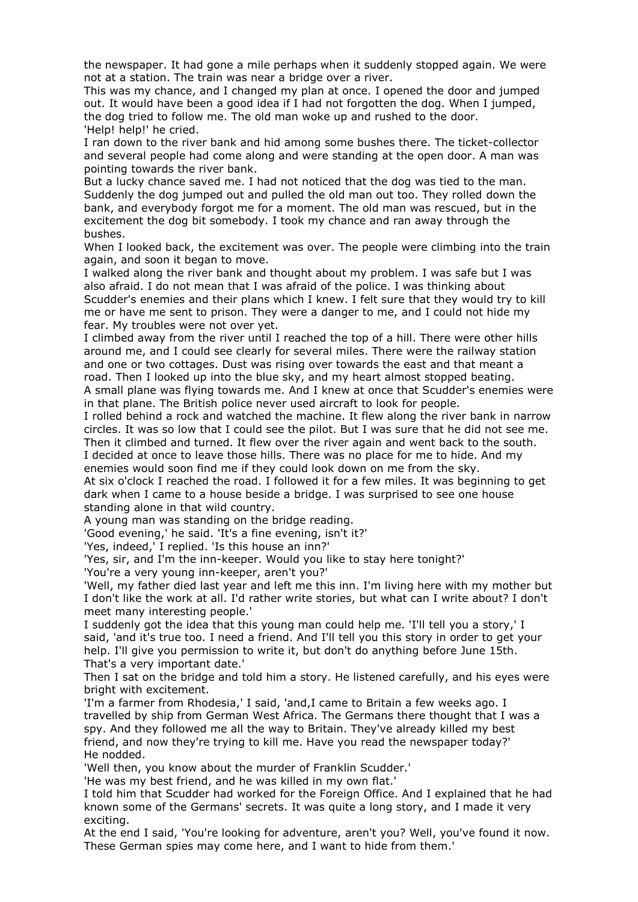the newspaper. It had gone a mile perhaps when it suddenly stopped again. We were not at a station. The train was near a bridge over a river.

This was my chance, and I changed my plan at once. I opened the door and jumped out. It would have been a good idea if I had not forgotten the dog. When I jumped, the dog tried to follow me. The old man woke up and rushed to the door. 'Help! help!' he cried.

I ran down to the river bank and hid among some bushes there. The ticket-collector and several people had come along and were standing at the open door. A man was pointing towards the river bank.

But a lucky chance saved me. I had not noticed that the dog was tied to the man. Suddenly the dog jumped out and pulled the old man out too. They rolled down the bank, and everybody forgot me for a moment. The old man was rescued, but in the excitement the dog bit somebody. I took my chance and ran away through the bushes.

When I looked back, the excitement was over. The people were climbing into the train again, and soon it began to move.

I walked along the river bank and thought about my problem. I was safe but I was also afraid. I do not mean that I was afraid of the police. I was thinking about Scudder's enemies and their plans which I knew. I felt sure that they would try to kill me or have me sent to prison. They were a danger to me, and I could not hide my fear. My troubles were not over yet.

I climbed away from the river until I reached the top of a hill. There were other hills around me, and I could see clearly for several miles. There were the railway station and one or two cottages. Dust was rising over towards the east and that meant a road. Then I looked up into the blue sky, and my heart almost stopped beating.

A small plane was flying towards me. And I knew at once that Scudder's enemies were in that plane. The British police never used aircraft to look for people.

I rolled behind a rock and watched the machine. It flew along the river bank in narrow circles. It was so low that I could see the pilot. But I was sure that he did not see me. Then it climbed and turned. It flew over the river again and went back to the south. I decided at once to leave those hills. There was no place for me to hide. And my

enemies would soon find me if they could look down on me from the sky.

At six o'clock I reached the road. I followed it for a few miles. It was beginning to get dark when I came to a house beside a bridge. I was surprised to see one house standing alone in that wild country.

A young man was standing on the bridge reading.

'Good evening,' he said. 'It's a fine evening, isn't it?'

'Yes, indeed,' I replied. 'Is this house an inn?'

'Yes, sir, and I'm the inn-keeper. Would you like to stay here tonight?'

'You're a very young inn-keeper, aren't you?'

'Well, my father died last year and left me this inn. I'm living here with my mother but I don't like the work at all. I'd rather write stories, but what can I write about? I don't meet many interesting people.'

I suddenly got the idea that this young man could help me. 'I'll tell you a story,' I said, 'and it's true too. I need a friend. And I'll tell you this story in order to get your help. I'll give you permission to write it, but don't do anything before June 15th. That's a very important date.'

Then I sat on the bridge and told him a story. He listened carefully, and his eyes were bright with excitement.

'I'm a farmer from Rhodesia,' I said, 'and,I came to Britain a few weeks ago. I travelled by ship from German West Africa. The Germans there thought that I was a spy. And they followed me all the way to Britain. They've already killed my best friend, and now they're trying to kill me. Have you read the newspaper today?' He nodded.

'Well then, you know about the murder of Franklin Scudder.'

'He was my best friend, and he was killed in my own flat.'

I told him that Scudder had worked for the Foreign Office. And I explained that he had known some of the Germans' secrets. It was quite a long story, and I made it very exciting.

At the end I said, 'You're looking for adventure, aren't you? Well, you've found it now. These German spies may come here, and I want to hide from them.'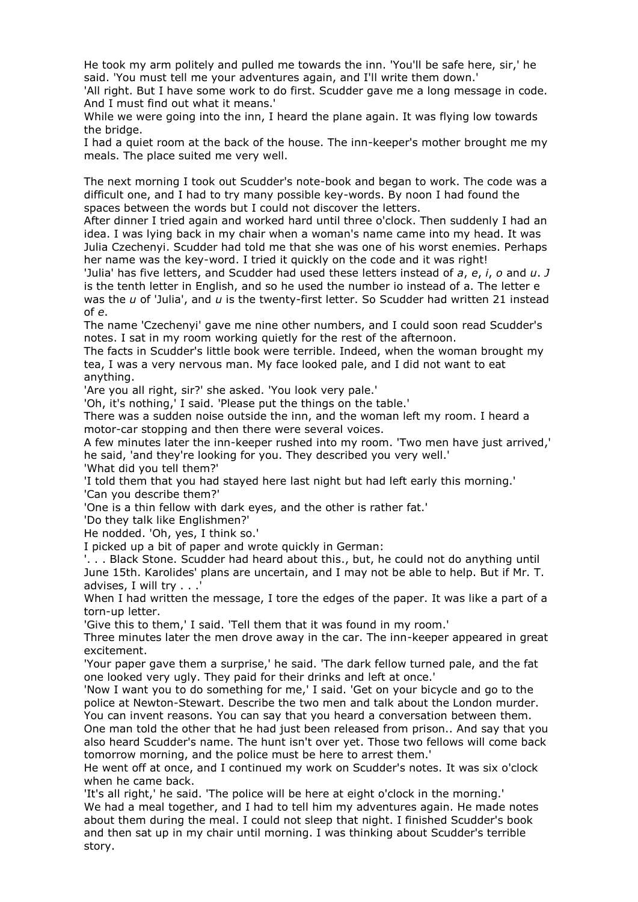He took my arm politely and pulled me towards the inn. 'You'll be safe here, sir,' he said. 'You must tell me your adventures again, and I'll write them down.'

'All right. But I have some work to do first. Scudder gave me a long message in code. And I must find out what it means.'

While we were going into the inn, I heard the plane again. It was flying low towards the bridge.

I had a quiet room at the back of the house. The inn-keeper's mother brought me my meals. The place suited me very well.

The next morning I took out Scudder's note-book and began to work. The code was a difficult one, and I had to try many possible key-words. By noon I had found the spaces between the words but I could not discover the letters.

After dinner I tried again and worked hard until three o'clock. Then suddenly I had an idea. I was lying back in my chair when a woman's name came into my head. It was Julia Czechenyi. Scudder had told me that she was one of his worst enemies. Perhaps her name was the key-word. I tried it quickly on the code and it was right!

'Julia' has five letters, and Scudder had used these letters instead of *a*, *e*, *i*, *o* and *u*. *J* is the tenth letter in English, and so he used the number io instead of a. The letter e was the *u* of 'Julia', and *u* is the twenty-first letter. So Scudder had written 21 instead of *e*.

The name 'Czechenyi' gave me nine other numbers, and I could soon read Scudder's notes. I sat in my room working quietly for the rest of the afternoon.

The facts in Scudder's little book were terrible. Indeed, when the woman brought my tea, I was a very nervous man. My face looked pale, and I did not want to eat anything.

'Are you all right, sir?' she asked. 'You look very pale.'

'Oh, it's nothing,' I said. 'Please put the things on the table.'

There was a sudden noise outside the inn, and the woman left my room. I heard a motor-car stopping and then there were several voices.

A few minutes later the inn-keeper rushed into my room. 'Two men have just arrived,' he said, 'and they're looking for you. They described you very well.'

'What did you tell them?'

'I told them that you had stayed here last night but had left early this morning.' 'Can you describe them?'

'One is a thin fellow with dark eyes, and the other is rather fat.'

'Do they talk like Englishmen?'

He nodded. 'Oh, yes, I think so.'

I picked up a bit of paper and wrote quickly in German:

'. . . Black Stone. Scudder had heard about this., but, he could not do anything until June 15th. Karolides' plans are uncertain, and I may not be able to help. But if Mr. T. advises, I will try . . .'

When I had written the message, I tore the edges of the paper. It was like a part of a torn-up letter.

'Give this to them,' I said. 'Tell them that it was found in my room.'

Three minutes later the men drove away in the car. The inn-keeper appeared in great excitement.

'Your paper gave them a surprise,' he said. 'The dark fellow turned pale, and the fat one looked very ugly. They paid for their drinks and left at once.'

'Now I want you to do something for me,' I said. 'Get on your bicycle and go to the police at Newton-Stewart. Describe the two men and talk about the London murder. You can invent reasons. You can say that you heard a conversation between them.

One man told the other that he had just been released from prison.. And say that you also heard Scudder's name. The hunt isn't over yet. Those two fellows will come back tomorrow morning, and the police must be here to arrest them.'

He went off at once, and I continued my work on Scudder's notes. It was six o'clock when he came back.

'It's all right,' he said. 'The police will be here at eight o'clock in the morning.' We had a meal together, and I had to tell him my adventures again. He made notes about them during the meal. I could not sleep that night. I finished Scudder's book and then sat up in my chair until morning. I was thinking about Scudder's terrible story.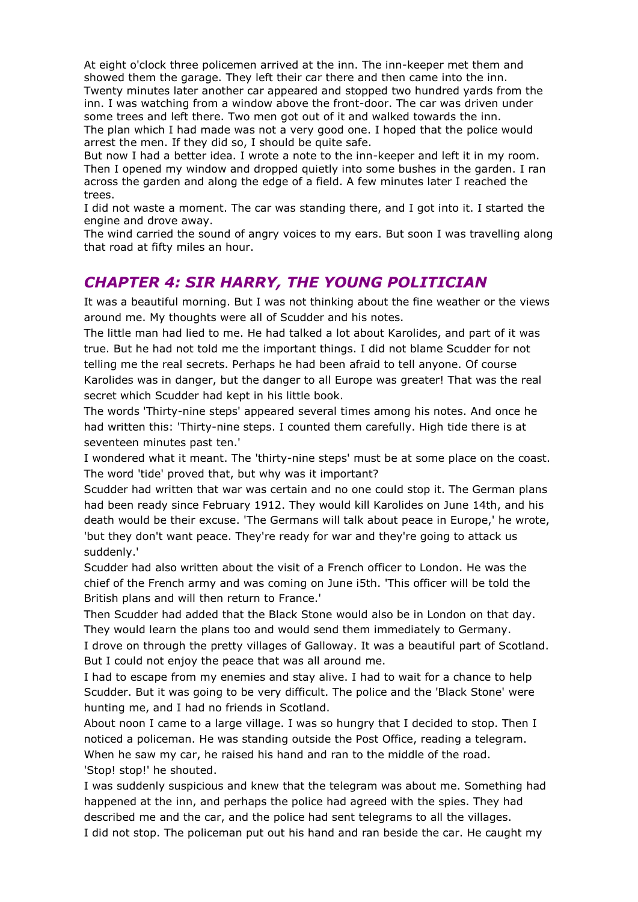At eight o'clock three policemen arrived at the inn. The inn-keeper met them and showed them the garage. They left their car there and then came into the inn. Twenty minutes later another car appeared and stopped two hundred yards from the inn. I was watching from a window above the front-door. The car was driven under some trees and left there. Two men got out of it and walked towards the inn. The plan which I had made was not a very good one. I hoped that the police would arrest the men. If they did so, I should be quite safe.

But now I had a better idea. I wrote a note to the inn-keeper and left it in my room. Then I opened my window and dropped quietly into some bushes in the garden. I ran across the garden and along the edge of a field. A few minutes later I reached the trees.

I did not waste a moment. The car was standing there, and I got into it. I started the engine and drove away.

The wind carried the sound of angry voices to my ears. But soon I was travelling along that road at fifty miles an hour.

#### *CHAPTER 4: SIR HARRY, THE YOUNG POLITICIAN*

It was a beautiful morning. But I was not thinking about the fine weather or the views around me. My thoughts were all of Scudder and his notes.

The little man had lied to me. He had talked a lot about Karolides, and part of it was true. But he had not told me the important things. I did not blame Scudder for not telling me the real secrets. Perhaps he had been afraid to tell anyone. Of course Karolides was in danger, but the danger to all Europe was greater! That was the real secret which Scudder had kept in his little book.

The words 'Thirty-nine steps' appeared several times among his notes. And once he had written this: 'Thirty-nine steps. I counted them carefully. High tide there is at seventeen minutes past ten.'

I wondered what it meant. The 'thirty-nine steps' must be at some place on the coast. The word 'tide' proved that, but why was it important?

Scudder had written that war was certain and no one could stop it. The German plans had been ready since February 1912. They would kill Karolides on June 14th, and his death would be their excuse. 'The Germans will talk about peace in Europe,' he wrote, 'but they don't want peace. They're ready for war and they're going to attack us suddenly.'

Scudder had also written about the visit of a French officer to London. He was the chief of the French army and was coming on June i5th. 'This officer will be told the British plans and will then return to France.'

Then Scudder had added that the Black Stone would also be in London on that day. They would learn the plans too and would send them immediately to Germany.

I drove on through the pretty villages of Galloway. It was a beautiful part of Scotland. But I could not enjoy the peace that was all around me.

I had to escape from my enemies and stay alive. I had to wait for a chance to help Scudder. But it was going to be very difficult. The police and the 'Black Stone' were hunting me, and I had no friends in Scotland.

About noon I came to a large village. I was so hungry that I decided to stop. Then I noticed a policeman. He was standing outside the Post Office, reading a telegram. When he saw my car, he raised his hand and ran to the middle of the road. 'Stop! stop!' he shouted.

I was suddenly suspicious and knew that the telegram was about me. Something had happened at the inn, and perhaps the police had agreed with the spies. They had described me and the car, and the police had sent telegrams to all the villages. I did not stop. The policeman put out his hand and ran beside the car. He caught my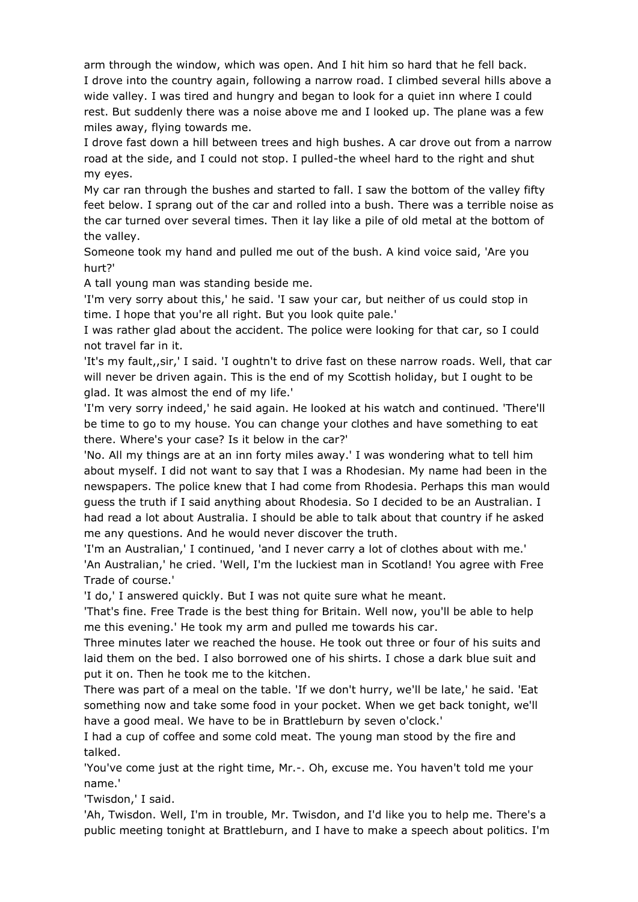arm through the window, which was open. And I hit him so hard that he fell back. I drove into the country again, following a narrow road. I climbed several hills above a wide valley. I was tired and hungry and began to look for a quiet inn where I could rest. But suddenly there was a noise above me and I looked up. The plane was a few miles away, flying towards me.

I drove fast down a hill between trees and high bushes. A car drove out from a narrow road at the side, and I could not stop. I pulled-the wheel hard to the right and shut my eyes.

My car ran through the bushes and started to fall. I saw the bottom of the valley fifty feet below. I sprang out of the car and rolled into a bush. There was a terrible noise as the car turned over several times. Then it lay like a pile of old metal at the bottom of the valley.

Someone took my hand and pulled me out of the bush. A kind voice said, 'Are you hurt?'

A tall young man was standing beside me.

'I'm very sorry about this,' he said. 'I saw your car, but neither of us could stop in time. I hope that you're all right. But you look quite pale.'

I was rather glad about the accident. The police were looking for that car, so I could not travel far in it.

'It's my fault,,sir,' I said. 'I oughtn't to drive fast on these narrow roads. Well, that car will never be driven again. This is the end of my Scottish holiday, but I ought to be glad. It was almost the end of my life.'

'I'm very sorry indeed,' he said again. He looked at his watch and continued. 'There'll be time to go to my house. You can change your clothes and have something to eat there. Where's your case? Is it below in the car?'

'No. All my things are at an inn forty miles away.' I was wondering what to tell him about myself. I did not want to say that I was a Rhodesian. My name had been in the newspapers. The police knew that I had come from Rhodesia. Perhaps this man would guess the truth if I said anything about Rhodesia. So I decided to be an Australian. I had read a lot about Australia. I should be able to talk about that country if he asked me any questions. And he would never discover the truth.

'I'm an Australian,' I continued, 'and I never carry a lot of clothes about with me.' 'An Australian,' he cried. 'Well, I'm the luckiest man in Scotland! You agree with Free Trade of course.'

'I do,' I answered quickly. But I was not quite sure what he meant.

'That's fine. Free Trade is the best thing for Britain. Well now, you'll be able to help me this evening.' He took my arm and pulled me towards his car.

Three minutes later we reached the house. He took out three or four of his suits and laid them on the bed. I also borrowed one of his shirts. I chose a dark blue suit and put it on. Then he took me to the kitchen.

There was part of a meal on the table. 'If we don't hurry, we'll be late,' he said. 'Eat something now and take some food in your pocket. When we get back tonight, we'll have a good meal. We have to be in Brattleburn by seven o'clock.'

I had a cup of coffee and some cold meat. The young man stood by the fire and talked.

'You've come just at the right time, Mr.-. Oh, excuse me. You haven't told me your name.'

'Twisdon,' I said.

'Ah, Twisdon. Well, I'm in trouble, Mr. Twisdon, and I'd like you to help me. There's a public meeting tonight at Brattleburn, and I have to make a speech about politics. I'm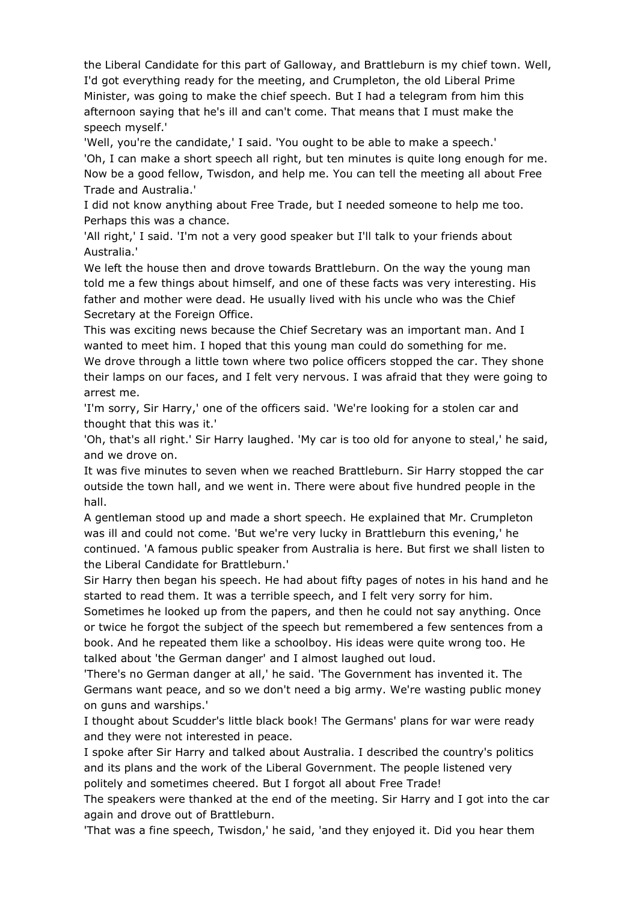the Liberal Candidate for this part of Galloway, and Brattleburn is my chief town. Well, I'd got everything ready for the meeting, and Crumpleton, the old Liberal Prime Minister, was going to make the chief speech. But I had a telegram from him this afternoon saying that he's ill and can't come. That means that I must make the speech myself.'

'Well, you're the candidate,' I said. 'You ought to be able to make a speech.' 'Oh, I can make a short speech all right, but ten minutes is quite long enough for me. Now be a good fellow, Twisdon, and help me. You can tell the meeting all about Free Trade and Australia.'

I did not know anything about Free Trade, but I needed someone to help me too. Perhaps this was a chance.

'All right,' I said. 'I'm not a very good speaker but I'll talk to your friends about Australia.'

We left the house then and drove towards Brattleburn. On the way the young man told me a few things about himself, and one of these facts was very interesting. His father and mother were dead. He usually lived with his uncle who was the Chief Secretary at the Foreign Office.

This was exciting news because the Chief Secretary was an important man. And I wanted to meet him. I hoped that this young man could do something for me. We drove through a little town where two police officers stopped the car. They shone their lamps on our faces, and I felt very nervous. I was afraid that they were going to arrest me.

'I'm sorry, Sir Harry,' one of the officers said. 'We're looking for a stolen car and thought that this was it.'

'Oh, that's all right.' Sir Harry laughed. 'My car is too old for anyone to steal,' he said, and we drove on.

It was five minutes to seven when we reached Brattleburn. Sir Harry stopped the car outside the town hall, and we went in. There were about five hundred people in the hall.

A gentleman stood up and made a short speech. He explained that Mr. Crumpleton was ill and could not come. 'But we're very lucky in Brattleburn this evening,' he continued. 'A famous public speaker from Australia is here. But first we shall listen to the Liberal Candidate for Brattleburn.'

Sir Harry then began his speech. He had about fifty pages of notes in his hand and he started to read them. It was a terrible speech, and I felt very sorry for him.

Sometimes he looked up from the papers, and then he could not say anything. Once or twice he forgot the subject of the speech but remembered a few sentences from a book. And he repeated them like a schoolboy. His ideas were quite wrong too. He talked about 'the German danger' and I almost laughed out loud.

'There's no German danger at all,' he said. 'The Government has invented it. The Germans want peace, and so we don't need a big army. We're wasting public money on guns and warships.'

I thought about Scudder's little black book! The Germans' plans for war were ready and they were not interested in peace.

I spoke after Sir Harry and talked about Australia. I described the country's politics and its plans and the work of the Liberal Government. The people listened very politely and sometimes cheered. But I forgot all about Free Trade!

The speakers were thanked at the end of the meeting. Sir Harry and I got into the car again and drove out of Brattleburn.

'That was a fine speech, Twisdon,' he said, 'and they enjoyed it. Did you hear them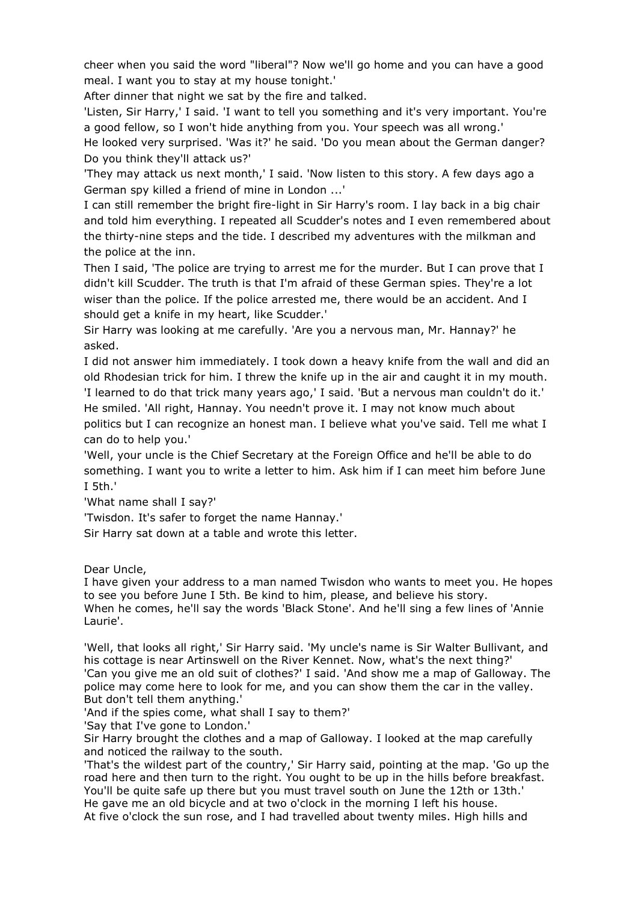cheer when you said the word "liberal"? Now we'll go home and you can have a good meal. I want you to stay at my house tonight.'

After dinner that night we sat by the fire and talked.

'Listen, Sir Harry,' I said. 'I want to tell you something and it's very important. You're a good fellow, so I won't hide anything from you. Your speech was all wrong.'

He looked very surprised. 'Was it?' he said. 'Do you mean about the German danger? Do you think they'll attack us?'

'They may attack us next month,' I said. 'Now listen to this story. A few days ago a German spy killed a friend of mine in London ...'

I can still remember the bright fire-light in Sir Harry's room. I lay back in a big chair and told him everything. I repeated all Scudder's notes and I even remembered about the thirty-nine steps and the tide. I described my adventures with the milkman and the police at the inn.

Then I said, 'The police are trying to arrest me for the murder. But I can prove that I didn't kill Scudder. The truth is that I'm afraid of these German spies. They're a lot wiser than the police. If the police arrested me, there would be an accident. And I should get a knife in my heart, like Scudder.'

Sir Harry was looking at me carefully. 'Are you a nervous man, Mr. Hannay?' he asked.

I did not answer him immediately. I took down a heavy knife from the wall and did an old Rhodesian trick for him. I threw the knife up in the air and caught it in my mouth. 'I learned to do that trick many years ago,' I said. 'But a nervous man couldn't do it.' He smiled. 'All right, Hannay. You needn't prove it. I may not know much about politics but I can recognize an honest man. I believe what you've said. Tell me what I can do to help you.'

'Well, your uncle is the Chief Secretary at the Foreign Office and he'll be able to do something. I want you to write a letter to him. Ask him if I can meet him before June I 5th.'

'What name shall I say?'

'Twisdon. It's safer to forget the name Hannay.'

Sir Harry sat down at a table and wrote this letter.

Dear Uncle,

I have given your address to a man named Twisdon who wants to meet you. He hopes to see you before June I 5th. Be kind to him, please, and believe his story. When he comes, he'll say the words 'Black Stone'. And he'll sing a few lines of 'Annie Laurie'.

'Well, that looks all right,' Sir Harry said. 'My uncle's name is Sir Walter Bullivant, and his cottage is near Artinswell on the River Kennet. Now, what's the next thing?' 'Can you give me an old suit of clothes?' I said. 'And show me a map of Galloway. The police may come here to look for me, and you can show them the car in the valley. But don't tell them anything.'

'And if the spies come, what shall I say to them?'

'Say that I've gone to London.'

Sir Harry brought the clothes and a map of Galloway. I looked at the map carefully and noticed the railway to the south.

'That's the wildest part of the country,' Sir Harry said, pointing at the map. 'Go up the road here and then turn to the right. You ought to be up in the hills before breakfast. You'll be quite safe up there but you must travel south on June the 12th or 13th.' He gave me an old bicycle and at two o'clock in the morning I left his house. At five o'clock the sun rose, and I had travelled about twenty miles. High hills and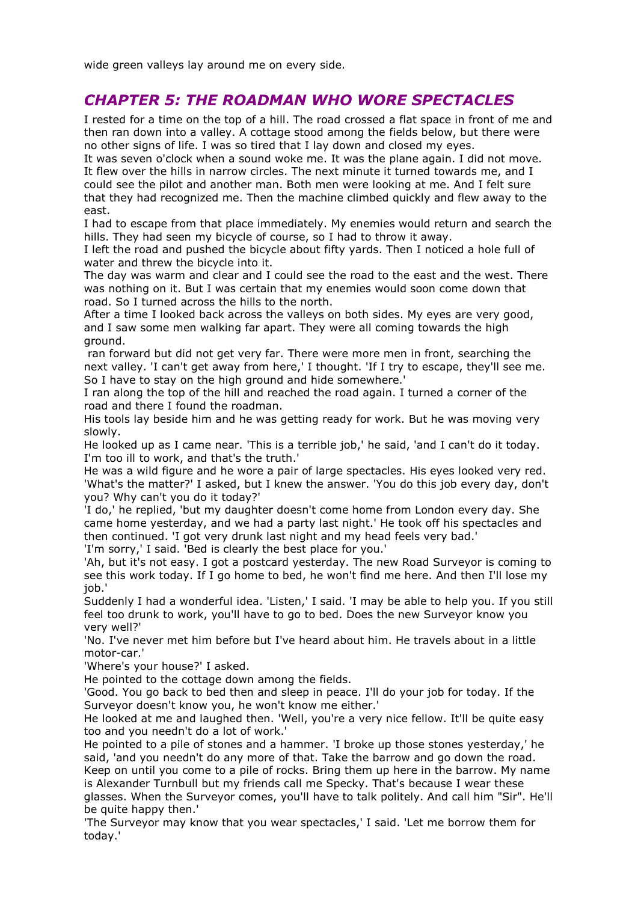wide green valleys lay around me on every side.

#### *CHAPTER 5: THE ROADMAN WHO WORE SPECTACLES*

I rested for a time on the top of a hill. The road crossed a flat space in front of me and then ran down into a valley. A cottage stood among the fields below, but there were no other signs of life. I was so tired that I lay down and closed my eyes.

It was seven o'clock when a sound woke me. It was the plane again. I did not move. It flew over the hills in narrow circles. The next minute it turned towards me, and I could see the pilot and another man. Both men were looking at me. And I felt sure that they had recognized me. Then the machine climbed quickly and flew away to the east.

I had to escape from that place immediately. My enemies would return and search the hills. They had seen my bicycle of course, so I had to throw it away.

I left the road and pushed the bicycle about fifty yards. Then I noticed a hole full of water and threw the bicycle into it.

The day was warm and clear and I could see the road to the east and the west. There was nothing on it. But I was certain that my enemies would soon come down that road. So I turned across the hills to the north.

After a time I looked back across the valleys on both sides. My eyes are very good, and I saw some men walking far apart. They were all coming towards the high ground.

ran forward but did not get very far. There were more men in front, searching the next valley. 'I can't get away from here,' I thought. 'If I try to escape, they'll see me. So I have to stay on the high ground and hide somewhere.'

I ran along the top of the hill and reached the road again. I turned a corner of the road and there I found the roadman.

His tools lay beside him and he was getting ready for work. But he was moving very slowly.

He looked up as I came near. 'This is a terrible job,' he said, 'and I can't do it today. I'm too ill to work, and that's the truth.'

He was a wild figure and he wore a pair of large spectacles. His eyes looked very red. 'What's the matter?' I asked, but I knew the answer. 'You do this job every day, don't you? Why can't you do it today?'

'I do,' he replied, 'but my daughter doesn't come home from London every day. She came home yesterday, and we had a party last night.' He took off his spectacles and then continued. 'I got very drunk last night and my head feels very bad.'

'I'm sorry,' I said. 'Bed is clearly the best place for you.'

'Ah, but it's not easy. I got a postcard yesterday. The new Road Surveyor is coming to see this work today. If I go home to bed, he won't find me here. And then I'll lose my job.'

Suddenly I had a wonderful idea. 'Listen,' I said. 'I may be able to help you. If you still feel too drunk to work, you'll have to go to bed. Does the new Surveyor know you very well?'

'No. I've never met him before but I've heard about him. He travels about in a little motor-car.'

'Where's your house?' I asked.

He pointed to the cottage down among the fields.

'Good. You go back to bed then and sleep in peace. I'll do your job for today. If the Surveyor doesn't know you, he won't know me either.'

He looked at me and laughed then. 'Well, you're a very nice fellow. It'll be quite easy too and you needn't do a lot of work.'

He pointed to a pile of stones and a hammer. 'I broke up those stones yesterday,' he said, 'and you needn't do any more of that. Take the barrow and go down the road. Keep on until you come to a pile of rocks. Bring them up here in the barrow. My name is Alexander Turnbull but my friends call me Specky. That's because I wear these glasses. When the Surveyor comes, you'll have to talk politely. And call him "Sir". He'll be quite happy then.'

'The Surveyor may know that you wear spectacles,' I said. 'Let me borrow them for today.'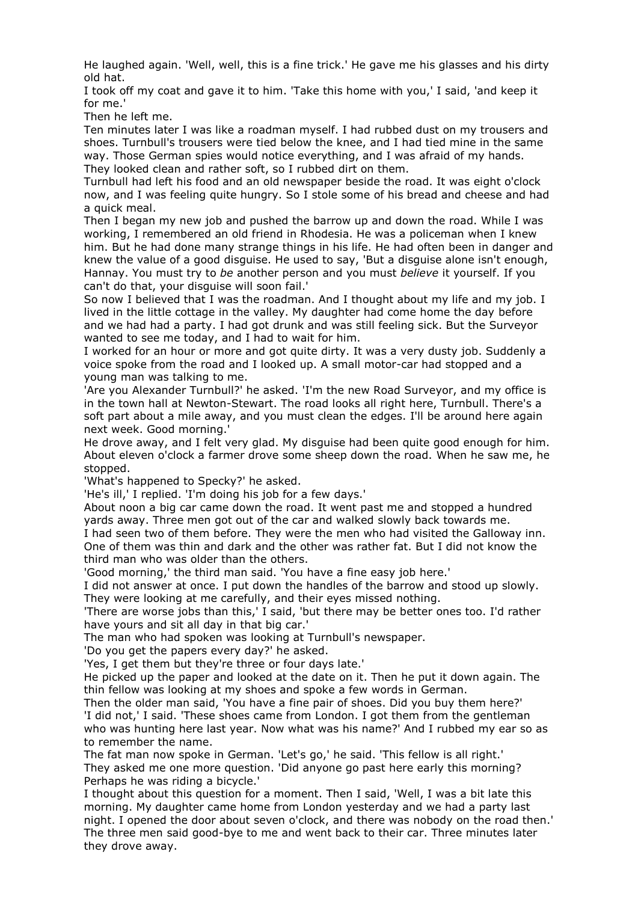He laughed again. 'Well, well, this is a fine trick.' He gave me his glasses and his dirty old hat.

I took off my coat and gave it to him. 'Take this home with you,' I said, 'and keep it for me.'

Then he left me.

Ten minutes later I was like a roadman myself. I had rubbed dust on my trousers and shoes. Turnbull's trousers were tied below the knee, and I had tied mine in the same way. Those German spies would notice everything, and I was afraid of my hands. They looked clean and rather soft, so I rubbed dirt on them.

Turnbull had left his food and an old newspaper beside the road. It was eight o'clock now, and I was feeling quite hungry. So I stole some of his bread and cheese and had a quick meal.

Then I began my new job and pushed the barrow up and down the road. While I was working, I remembered an old friend in Rhodesia. He was a policeman when I knew him. But he had done many strange things in his life. He had often been in danger and knew the value of a good disguise. He used to say, 'But a disguise alone isn't enough, Hannay. You must try to *be* another person and you must *believe* it yourself. If you can't do that, your disguise will soon fail.'

So now I believed that I was the roadman. And I thought about my life and my job. I lived in the little cottage in the valley. My daughter had come home the day before and we had had a party. I had got drunk and was still feeling sick. But the Surveyor wanted to see me today, and I had to wait for him.

I worked for an hour or more and got quite dirty. It was a very dusty job. Suddenly a voice spoke from the road and I looked up. A small motor-car had stopped and a young man was talking to me.

'Are you Alexander Turnbull?' he asked. 'I'm the new Road Surveyor, and my office is in the town hall at Newton-Stewart. The road looks all right here, Turnbull. There's a soft part about a mile away, and you must clean the edges. I'll be around here again next week. Good morning.'

He drove away, and I felt very glad. My disguise had been quite good enough for him. About eleven o'clock a farmer drove some sheep down the road. When he saw me, he stopped.

'What's happened to Specky?' he asked.

'He's ill,' I replied. 'I'm doing his job for a few days.'

About noon a big car came down the road. It went past me and stopped a hundred yards away. Three men got out of the car and walked slowly back towards me.

I had seen two of them before. They were the men who had visited the Galloway inn. One of them was thin and dark and the other was rather fat. But I did not know the third man who was older than the others.

'Good morning,' the third man said. 'You have a fine easy job here.'

I did not answer at once. I put down the handles of the barrow and stood up slowly. They were looking at me carefully, and their eyes missed nothing.

'There are worse jobs than this,' I said, 'but there may be better ones too. I'd rather have yours and sit all day in that big car.'

The man who had spoken was looking at Turnbull's newspaper.

'Do you get the papers every day?' he asked.

'Yes, I get them but they're three or four days late.'

He picked up the paper and looked at the date on it. Then he put it down again. The thin fellow was looking at my shoes and spoke a few words in German.

Then the older man said, 'You have a fine pair of shoes. Did you buy them here?' 'I did not,' I said. 'These shoes came from London. I got them from the gentleman who was hunting here last year. Now what was his name?' And I rubbed my ear so as to remember the name.

The fat man now spoke in German. 'Let's go,' he said. 'This fellow is all right.' They asked me one more question. 'Did anyone go past here early this morning? Perhaps he was riding a bicycle.'

I thought about this question for a moment. Then I said, 'Well, I was a bit late this morning. My daughter came home from London yesterday and we had a party last night. I opened the door about seven o'clock, and there was nobody on the road then.' The three men said good-bye to me and went back to their car. Three minutes later they drove away.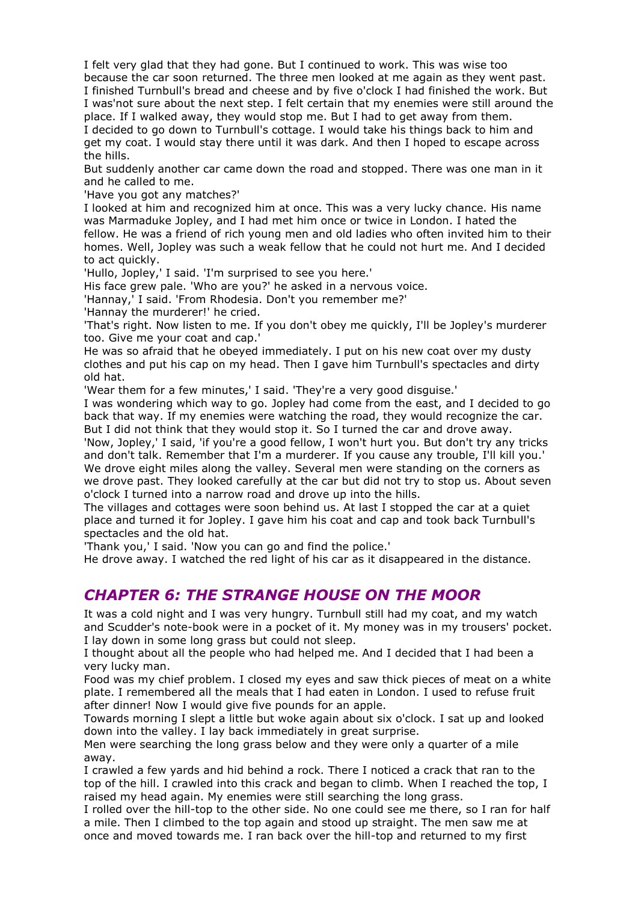I felt very glad that they had gone. But I continued to work. This was wise too because the car soon returned. The three men looked at me again as they went past. I finished Turnbull's bread and cheese and by five o'clock I had finished the work. But I was'not sure about the next step. I felt certain that my enemies were still around the place. If I walked away, they would stop me. But I had to get away from them. I decided to go down to Turnbull's cottage. I would take his things back to him and get my coat. I would stay there until it was dark. And then I hoped to escape across the hills.

But suddenly another car came down the road and stopped. There was one man in it and he called to me.

'Have you got any matches?'

I looked at him and recognized him at once. This was a very lucky chance. His name was Marmaduke Jopley, and I had met him once or twice in London. I hated the fellow. He was a friend of rich young men and old ladies who often invited him to their homes. Well, Jopley was such a weak fellow that he could not hurt me. And I decided to act quickly.

'Hullo, Jopley,' I said. 'I'm surprised to see you here.'

His face grew pale. 'Who are you?' he asked in a nervous voice.

'Hannay,' I said. 'From Rhodesia. Don't you remember me?'

'Hannay the murderer!' he cried.

'That's right. Now listen to me. If you don't obey me quickly, I'll be Jopley's murderer too. Give me your coat and cap.'

He was so afraid that he obeyed immediately. I put on his new coat over my dusty clothes and put his cap on my head. Then I gave him Turnbull's spectacles and dirty old hat.

'Wear them for a few minutes,' I said. 'They're a very good disguise.'

I was wondering which way to go. Jopley had come from the east, and I decided to go back that way. If my enemies were watching the road, they would recognize the car. But I did not think that they would stop it. So I turned the car and drove away.

'Now, Jopley,' I said, 'if you're a good fellow, I won't hurt you. But don't try any tricks and don't talk. Remember that I'm a murderer. If you cause any trouble, I'll kill you.' We drove eight miles along the valley. Several men were standing on the corners as we drove past. They looked carefully at the car but did not try to stop us. About seven o'clock I turned into a narrow road and drove up into the hills.

The villages and cottages were soon behind us. At last I stopped the car at a quiet place and turned it for Jopley. I gave him his coat and cap and took back Turnbull's spectacles and the old hat.

'Thank you,' I said. 'Now you can go and find the police.'

He drove away. I watched the red light of his car as it disappeared in the distance.

#### *CHAPTER 6: THE STRANGE HOUSE ON THE MOOR*

It was a cold night and I was very hungry. Turnbull still had my coat, and my watch and Scudder's note-book were in a pocket of it. My money was in my trousers' pocket. I lay down in some long grass but could not sleep.

I thought about all the people who had helped me. And I decided that I had been a very lucky man.

Food was my chief problem. I closed my eyes and saw thick pieces of meat on a white plate. I remembered all the meals that I had eaten in London. I used to refuse fruit after dinner! Now I would give five pounds for an apple.

Towards morning I slept a little but woke again about six o'clock. I sat up and looked down into the valley. I lay back immediately in great surprise.

Men were searching the long grass below and they were only a quarter of a mile away.

I crawled a few yards and hid behind a rock. There I noticed a crack that ran to the top of the hill. I crawled into this crack and began to climb. When I reached the top, I raised my head again. My enemies were still searching the long grass.

I rolled over the hill-top to the other side. No one could see me there, so I ran for half a mile. Then I climbed to the top again and stood up straight. The men saw me at once and moved towards me. I ran back over the hill-top and returned to my first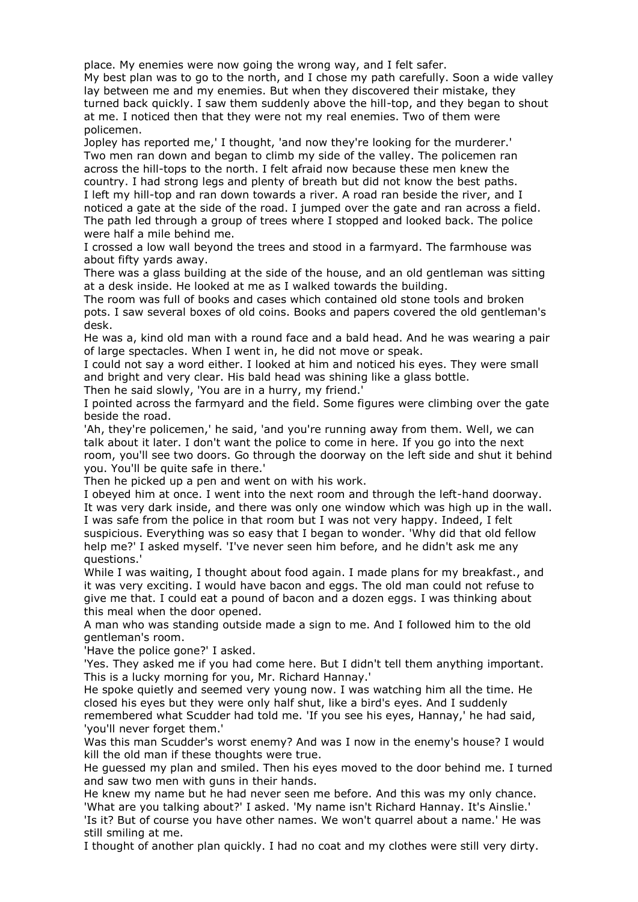place. My enemies were now going the wrong way, and I felt safer.

My best plan was to go to the north, and I chose my path carefully. Soon a wide valley lay between me and my enemies. But when they discovered their mistake, they turned back quickly. I saw them suddenly above the hill-top, and they began to shout at me. I noticed then that they were not my real enemies. Two of them were policemen.

Jopley has reported me,' I thought, 'and now they're looking for the murderer.' Two men ran down and began to climb my side of the valley. The policemen ran across the hill-tops to the north. I felt afraid now because these men knew the country. I had strong legs and plenty of breath but did not know the best paths. I left my hill-top and ran down towards a river. A road ran beside the river, and I noticed a gate at the side of the road. I jumped over the gate and ran across a field. The path led through a group of trees where I stopped and looked back. The police were half a mile behind me.

I crossed a low wall beyond the trees and stood in a farmyard. The farmhouse was about fifty yards away.

There was a glass building at the side of the house, and an old gentleman was sitting at a desk inside. He looked at me as I walked towards the building.

The room was full of books and cases which contained old stone tools and broken pots. I saw several boxes of old coins. Books and papers covered the old gentleman's desk.

He was a, kind old man with a round face and a bald head. And he was wearing a pair of large spectacles. When I went in, he did not move or speak.

I could not say a word either. I looked at him and noticed his eyes. They were small and bright and very clear. His bald head was shining like a glass bottle.

Then he said slowly, 'You are in a hurry, my friend.'

I pointed across the farmyard and the field. Some figures were climbing over the gate beside the road.

'Ah, they're policemen,' he said, 'and you're running away from them. Well, we can talk about it later. I don't want the police to come in here. If you go into the next room, you'll see two doors. Go through the doorway on the left side and shut it behind you. You'll be quite safe in there.'

Then he picked up a pen and went on with his work.

I obeyed him at once. I went into the next room and through the left-hand doorway. It was very dark inside, and there was only one window which was high up in the wall. I was safe from the police in that room but I was not very happy. Indeed, I felt suspicious. Everything was so easy that I began to wonder. 'Why did that old fellow help me?' I asked myself. 'I've never seen him before, and he didn't ask me any questions.'

While I was waiting, I thought about food again. I made plans for my breakfast., and it was very exciting. I would have bacon and eggs. The old man could not refuse to give me that. I could eat a pound of bacon and a dozen eggs. I was thinking about this meal when the door opened.

A man who was standing outside made a sign to me. And I followed him to the old gentleman's room.

'Have the police gone?' I asked.

'Yes. They asked me if you had come here. But I didn't tell them anything important. This is a lucky morning for you, Mr. Richard Hannay.'

He spoke quietly and seemed very young now. I was watching him all the time. He closed his eyes but they were only half shut, like a bird's eyes. And I suddenly remembered what Scudder had told me. 'If you see his eyes, Hannay,' he had said, 'you'll never forget them.'

Was this man Scudder's worst enemy? And was I now in the enemy's house? I would kill the old man if these thoughts were true.

He guessed my plan and smiled. Then his eyes moved to the door behind me. I turned and saw two men with guns in their hands.

He knew my name but he had never seen me before. And this was my only chance. 'What are you talking about?' I asked. 'My name isn't Richard Hannay. It's Ainslie.' 'Is it? But of course you have other names. We won't quarrel about a name.' He was

still smiling at me. I thought of another plan quickly. I had no coat and my clothes were still very dirty.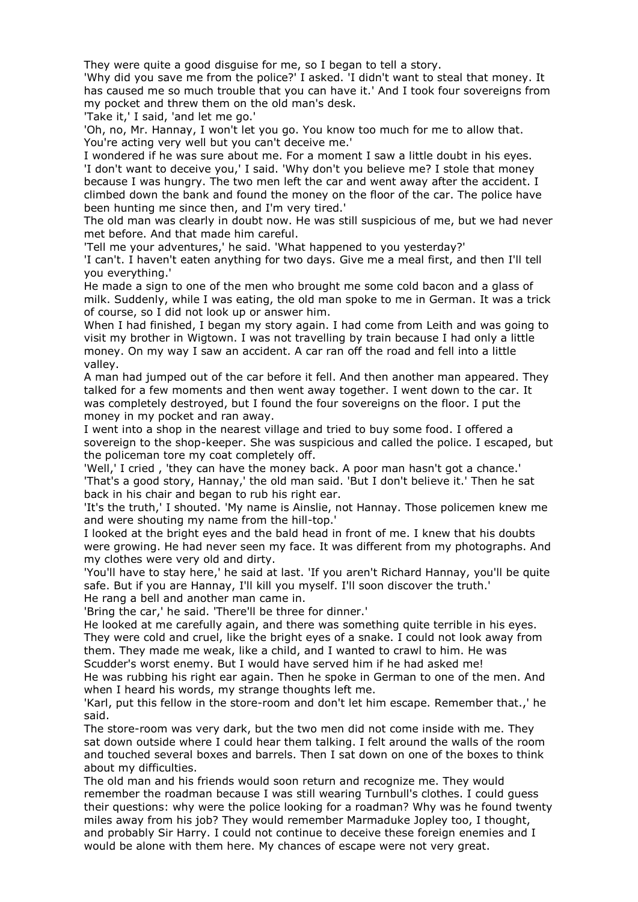They were quite a good disguise for me, so I began to tell a story.

'Why did you save me from the police?' I asked. 'I didn't want to steal that money. It has caused me so much trouble that you can have it.' And I took four sovereigns from my pocket and threw them on the old man's desk.

'Take it,' I said, 'and let me go.'

'Oh, no, Mr. Hannay, I won't let you go. You know too much for me to allow that. You're acting very well but you can't deceive me.'

I wondered if he was sure about me. For a moment I saw a little doubt in his eyes. 'I don't want to deceive you,' I said. 'Why don't you believe me? I stole that money because I was hungry. The two men left the car and went away after the accident. I climbed down the bank and found the money on the floor of the car. The police have been hunting me since then, and I'm very tired.'

The old man was clearly in doubt now. He was still suspicious of me, but we had never met before. And that made him careful.

'Tell me your adventures,' he said. 'What happened to you yesterday?'

'I can't. I haven't eaten anything for two days. Give me a meal first, and then I'll tell you everything.'

He made a sign to one of the men who brought me some cold bacon and a glass of milk. Suddenly, while I was eating, the old man spoke to me in German. It was a trick of course, so I did not look up or answer him.

When I had finished, I began my story again. I had come from Leith and was going to visit my brother in Wigtown. I was not travelling by train because I had only a little money. On my way I saw an accident. A car ran off the road and fell into a little valley.

A man had jumped out of the car before it fell. And then another man appeared. They talked for a few moments and then went away together. I went down to the car. It was completely destroyed, but I found the four sovereigns on the floor. I put the money in my pocket and ran away.

I went into a shop in the nearest village and tried to buy some food. I offered a sovereign to the shop-keeper. She was suspicious and called the police. I escaped, but the policeman tore my coat completely off.

'Well,' I cried , 'they can have the money back. A poor man hasn't got a chance.' 'That's a good story, Hannay,' the old man said. 'But I don't believe it.' Then he sat back in his chair and began to rub his right ear.

'It's the truth,' I shouted. 'My name is Ainslie, not Hannay. Those policemen knew me and were shouting my name from the hill-top.'

I looked at the bright eyes and the bald head in front of me. I knew that his doubts were growing. He had never seen my face. It was different from my photographs. And my clothes were very old and dirty.

'You'll have to stay here,' he said at last. 'If you aren't Richard Hannay, you'll be quite safe. But if you are Hannay, I'll kill you myself. I'll soon discover the truth.' He rang a bell and another man came in.

'Bring the car,' he said. 'There'll be three for dinner.'

He looked at me carefully again, and there was something quite terrible in his eyes. They were cold and cruel, like the bright eyes of a snake. I could not look away from them. They made me weak, like a child, and I wanted to crawl to him. He was Scudder's worst enemy. But I would have served him if he had asked me!

He was rubbing his right ear again. Then he spoke in German to one of the men. And when I heard his words, my strange thoughts left me.

'Karl, put this fellow in the store-room and don't let him escape. Remember that.,' he said.

The store-room was very dark, but the two men did not come inside with me. They sat down outside where I could hear them talking. I felt around the walls of the room and touched several boxes and barrels. Then I sat down on one of the boxes to think about my difficulties.

The old man and his friends would soon return and recognize me. They would remember the roadman because I was still wearing Turnbull's clothes. I could guess their questions: why were the police looking for a roadman? Why was he found twenty miles away from his job? They would remember Marmaduke Jopley too, I thought, and probably Sir Harry. I could not continue to deceive these foreign enemies and I would be alone with them here. My chances of escape were not very great.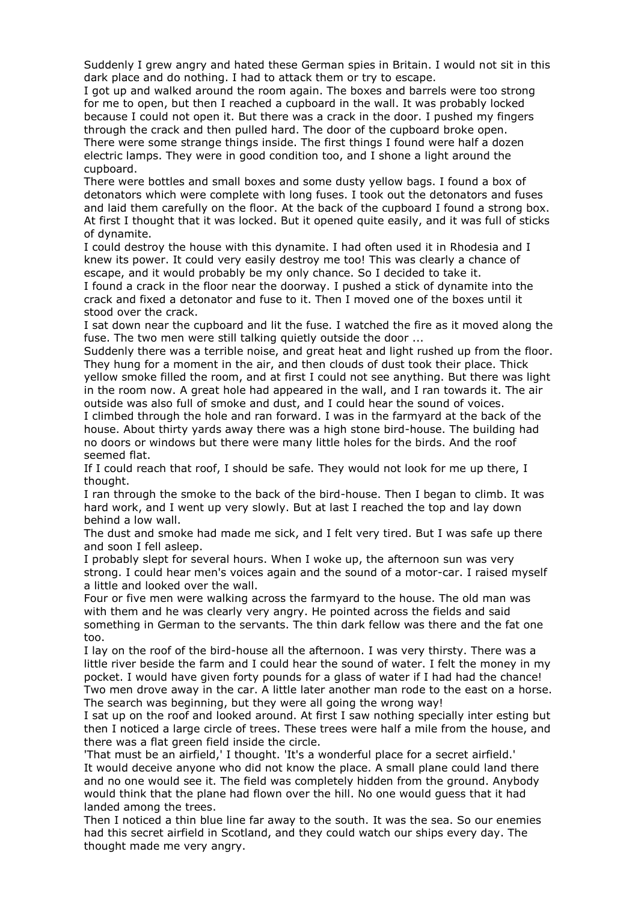Suddenly I grew angry and hated these German spies in Britain. I would not sit in this dark place and do nothing. I had to attack them or try to escape.

I got up and walked around the room again. The boxes and barrels were too strong for me to open, but then I reached a cupboard in the wall. It was probably locked because I could not open it. But there was a crack in the door. I pushed my fingers through the crack and then pulled hard. The door of the cupboard broke open. There were some strange things inside. The first things I found were half a dozen electric lamps. They were in good condition too, and I shone a light around the cupboard.

There were bottles and small boxes and some dusty yellow bags. I found a box of detonators which were complete with long fuses. I took out the detonators and fuses and laid them carefully on the floor. At the back of the cupboard I found a strong box. At first I thought that it was locked. But it opened quite easily, and it was full of sticks of dynamite.

I could destroy the house with this dynamite. I had often used it in Rhodesia and I knew its power. It could very easily destroy me too! This was clearly a chance of escape, and it would probably be my only chance. So I decided to take it.

I found a crack in the floor near the doorway. I pushed a stick of dynamite into the crack and fixed a detonator and fuse to it. Then I moved one of the boxes until it stood over the crack.

I sat down near the cupboard and lit the fuse. I watched the fire as it moved along the fuse. The two men were still talking quietly outside the door ...

Suddenly there was a terrible noise, and great heat and light rushed up from the floor. They hung for a moment in the air, and then clouds of dust took their place. Thick yellow smoke filled the room, and at first I could not see anything. But there was light in the room now. A great hole had appeared in the wall, and I ran towards it. The air outside was also full of smoke and dust, and I could hear the sound of voices.

I climbed through the hole and ran forward. I was in the farmyard at the back of the house. About thirty yards away there was a high stone bird-house. The building had no doors or windows but there were many little holes for the birds. And the roof seemed flat.

If I could reach that roof, I should be safe. They would not look for me up there, I thought.

I ran through the smoke to the back of the bird-house. Then I began to climb. It was hard work, and I went up very slowly. But at last I reached the top and lay down behind a low wall.

The dust and smoke had made me sick, and I felt very tired. But I was safe up there and soon I fell asleep.

I probably slept for several hours. When I woke up, the afternoon sun was very strong. I could hear men's voices again and the sound of a motor-car. I raised myself a little and looked over the wall.

Four or five men were walking across the farmyard to the house. The old man was with them and he was clearly very angry. He pointed across the fields and said something in German to the servants. The thin dark fellow was there and the fat one too.

I lay on the roof of the bird-house all the afternoon. I was very thirsty. There was a little river beside the farm and I could hear the sound of water. I felt the money in my pocket. I would have given forty pounds for a glass of water if I had had the chance! Two men drove away in the car. A little later another man rode to the east on a horse. The search was beginning, but they were all going the wrong way!

I sat up on the roof and looked around. At first I saw nothing specially inter esting but then I noticed a large circle of trees. These trees were half a mile from the house, and there was a flat green field inside the circle.

'That must be an airfield,' I thought. 'It's a wonderful place for a secret airfield.' It would deceive anyone who did not know the place. A small plane could land there and no one would see it. The field was completely hidden from the ground. Anybody would think that the plane had flown over the hill. No one would guess that it had landed among the trees.

Then I noticed a thin blue line far away to the south. It was the sea. So our enemies had this secret airfield in Scotland, and they could watch our ships every day. The thought made me very angry.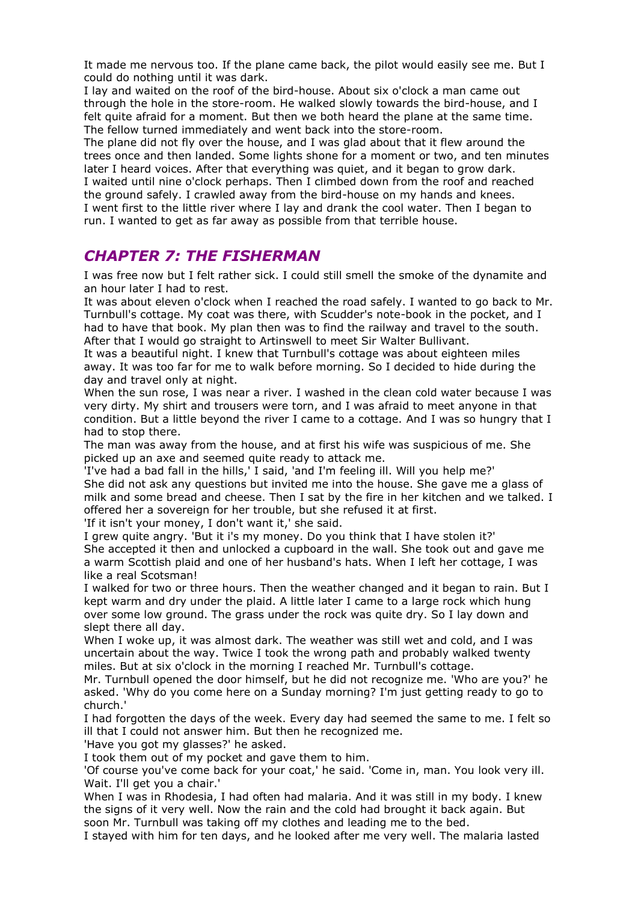It made me nervous too. If the plane came back, the pilot would easily see me. But I could do nothing until it was dark.

I lay and waited on the roof of the bird-house. About six o'clock a man came out through the hole in the store-room. He walked slowly towards the bird-house, and I felt quite afraid for a moment. But then we both heard the plane at the same time. The fellow turned immediately and went back into the store-room.

The plane did not fly over the house, and I was glad about that it flew around the trees once and then landed. Some lights shone for a moment or two, and ten minutes later I heard voices. After that everything was quiet, and it began to grow dark. I waited until nine o'clock perhaps. Then I climbed down from the roof and reached the ground safely. I crawled away from the bird-house on my hands and knees. I went first to the little river where I lay and drank the cool water. Then I began to run. I wanted to get as far away as possible from that terrible house.

#### *CHAPTER 7: THE FISHERMAN*

I was free now but I felt rather sick. I could still smell the smoke of the dynamite and an hour later I had to rest.

It was about eleven o'clock when I reached the road safely. I wanted to go back to Mr. Turnbull's cottage. My coat was there, with Scudder's note-book in the pocket, and I had to have that book. My plan then was to find the railway and travel to the south. After that I would go straight to Artinswell to meet Sir Walter Bullivant.

It was a beautiful night. I knew that Turnbull's cottage was about eighteen miles away. It was too far for me to walk before morning. So I decided to hide during the day and travel only at night.

When the sun rose, I was near a river. I washed in the clean cold water because I was very dirty. My shirt and trousers were torn, and I was afraid to meet anyone in that condition. But a little beyond the river I came to a cottage. And I was so hungry that I had to stop there.

The man was away from the house, and at first his wife was suspicious of me. She picked up an axe and seemed quite ready to attack me.

'I've had a bad fall in the hills,' I said, 'and I'm feeling ill. Will you help me?' She did not ask any questions but invited me into the house. She gave me a glass of milk and some bread and cheese. Then I sat by the fire in her kitchen and we talked. I offered her a sovereign for her trouble, but she refused it at first.

'If it isn't your money, I don't want it,' she said.

I grew quite angry. 'But it i's my money. Do you think that I have stolen it?' She accepted it then and unlocked a cupboard in the wall. She took out and gave me a warm Scottish plaid and one of her husband's hats. When I left her cottage, I was like a real Scotsman!

I walked for two or three hours. Then the weather changed and it began to rain. But I kept warm and dry under the plaid. A little later I came to a large rock which hung over some low ground. The grass under the rock was quite dry. So I lay down and slept there all day.

When I woke up, it was almost dark. The weather was still wet and cold, and I was uncertain about the way. Twice I took the wrong path and probably walked twenty miles. But at six o'clock in the morning I reached Mr. Turnbull's cottage.

Mr. Turnbull opened the door himself, but he did not recognize me. 'Who are you?' he asked. 'Why do you come here on a Sunday morning? I'm just getting ready to go to church.'

I had forgotten the days of the week. Every day had seemed the same to me. I felt so ill that I could not answer him. But then he recognized me.

'Have you got my glasses?' he asked.

I took them out of my pocket and gave them to him.

'Of course you've come back for your coat,' he said. 'Come in, man. You look very ill. Wait. I'll get you a chair.'

When I was in Rhodesia, I had often had malaria. And it was still in my body. I knew the signs of it very well. Now the rain and the cold had brought it back again. But soon Mr. Turnbull was taking off my clothes and leading me to the bed.

I stayed with him for ten days, and he looked after me very well. The malaria lasted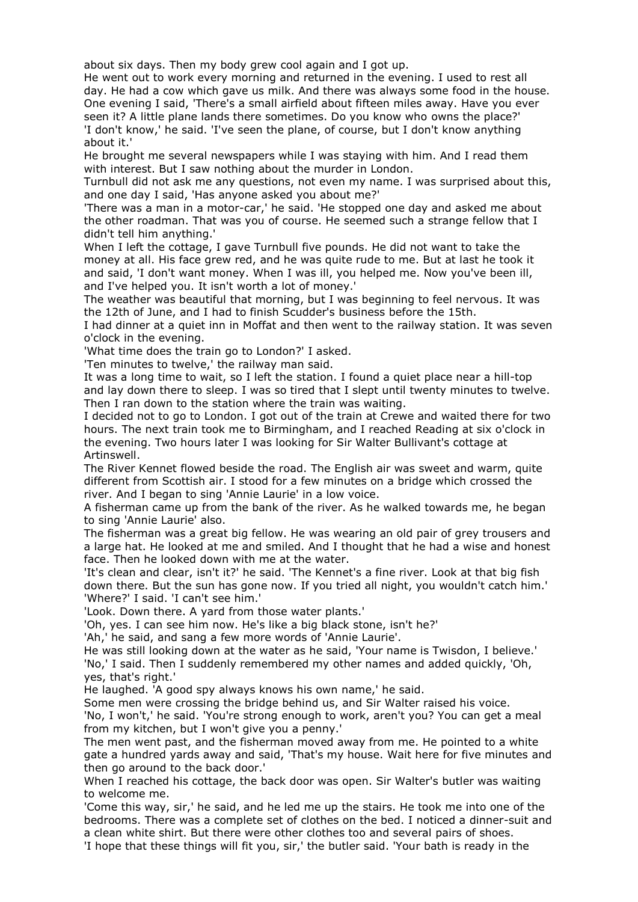about six days. Then my body grew cool again and I got up.

He went out to work every morning and returned in the evening. I used to rest all day. He had a cow which gave us milk. And there was always some food in the house. One evening I said, 'There's a small airfield about fifteen miles away. Have you ever seen it? A little plane lands there sometimes. Do you know who owns the place?' 'I don't know,' he said. 'I've seen the plane, of course, but I don't know anything about it.'

He brought me several newspapers while I was staying with him. And I read them with interest. But I saw nothing about the murder in London.

Turnbull did not ask me any questions, not even my name. I was surprised about this, and one day I said, 'Has anyone asked you about me?'

'There was a man in a motor-car,' he said. 'He stopped one day and asked me about the other roadman. That was you of course. He seemed such a strange fellow that I didn't tell him anything.'

When I left the cottage, I gave Turnbull five pounds. He did not want to take the money at all. His face grew red, and he was quite rude to me. But at last he took it and said, 'I don't want money. When I was ill, you helped me. Now you've been ill, and I've helped you. It isn't worth a lot of money.'

The weather was beautiful that morning, but I was beginning to feel nervous. It was the 12th of June, and I had to finish Scudder's business before the 15th.

I had dinner at a quiet inn in Moffat and then went to the railway station. It was seven o'clock in the evening.

'What time does the train go to London?' I asked.

'Ten minutes to twelve,' the railway man said.

It was a long time to wait, so I left the station. I found a quiet place near a hill-top and lay down there to sleep. I was so tired that I slept until twenty minutes to twelve. Then I ran down to the station where the train was waiting.

I decided not to go to London. I got out of the train at Crewe and waited there for two hours. The next train took me to Birmingham, and I reached Reading at six o'clock in the evening. Two hours later I was looking for Sir Walter Bullivant's cottage at Artinswell.

The River Kennet flowed beside the road. The English air was sweet and warm, quite different from Scottish air. I stood for a few minutes on a bridge which crossed the river. And I began to sing 'Annie Laurie' in a low voice.

A fisherman came up from the bank of the river. As he walked towards me, he began to sing 'Annie Laurie' also.

The fisherman was a great big fellow. He was wearing an old pair of grey trousers and a large hat. He looked at me and smiled. And I thought that he had a wise and honest face. Then he looked down with me at the water.

'It's clean and clear, isn't it?' he said. 'The Kennet's a fine river. Look at that big fish down there. But the sun has gone now. If you tried all night, you wouldn't catch him.' 'Where?' I said. 'I can't see him.'

'Look. Down there. A yard from those water plants.'

'Oh, yes. I can see him now. He's like a big black stone, isn't he?'

'Ah,' he said, and sang a few more words of 'Annie Laurie'.

He was still looking down at the water as he said, 'Your name is Twisdon, I believe.' 'No,' I said. Then I suddenly remembered my other names and added quickly, 'Oh, yes, that's right.'

He laughed. 'A good spy always knows his own name,' he said.

Some men were crossing the bridge behind us, and Sir Walter raised his voice.

'No, I won't,' he said. 'You're strong enough to work, aren't you? You can get a meal from my kitchen, but I won't give you a penny.'

The men went past, and the fisherman moved away from me. He pointed to a white gate a hundred yards away and said, 'That's my house. Wait here for five minutes and then go around to the back door.'

When I reached his cottage, the back door was open. Sir Walter's butler was waiting to welcome me.

'Come this way, sir,' he said, and he led me up the stairs. He took me into one of the bedrooms. There was a complete set of clothes on the bed. I noticed a dinner-suit and a clean white shirt. But there were other clothes too and several pairs of shoes.

'I hope that these things will fit you, sir,' the butler said. 'Your bath is ready in the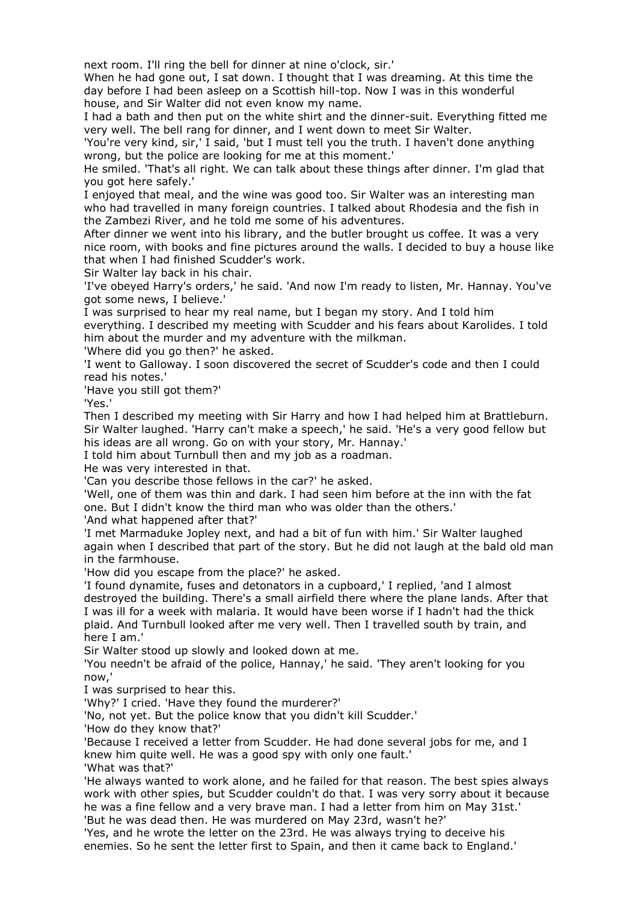next room. I'll ring the bell for dinner at nine o'clock, sir.'

When he had gone out, I sat down. I thought that I was dreaming. At this time the day before I had been asleep on a Scottish hill-top. Now I was in this wonderful house, and Sir Walter did not even know my name.

I had a bath and then put on the white shirt and the dinner-suit. Everything fitted me very well. The bell rang for dinner, and I went down to meet Sir Walter.

'You're very kind, sir,' I said, 'but I must tell you the truth. I haven't done anything wrong, but the police are looking for me at this moment.'

He smiled. 'That's all right. We can talk about these things after dinner. I'm glad that you got here safely.'

I enjoyed that meal, and the wine was good too. Sir Walter was an interesting man who had travelled in many foreign countries. I talked about Rhodesia and the fish in the Zambezi River, and he told me some of his adventures.

After dinner we went into his library, and the butler brought us coffee. It was a very nice room, with books and fine pictures around the walls. I decided to buy a house like that when I had finished Scudder's work.

Sir Walter lay back in his chair.

'I've obeyed Harry's orders,' he said. 'And now I'm ready to listen, Mr. Hannay. You've got some news, I believe.'

I was surprised to hear my real name, but I began my story. And I told him everything. I described my meeting with Scudder and his fears about Karolides. I told him about the murder and my adventure with the milkman.

'Where did you go then?' he asked.

'I went to Galloway. I soon discovered the secret of Scudder's code and then I could read his notes.'

'Have you still got them?'

'Yes.'

Then I described my meeting with Sir Harry and how I had helped him at Brattleburn. Sir Walter laughed. 'Harry can't make a speech,' he said. 'He's a very good fellow but his ideas are all wrong. Go on with your story, Mr. Hannay.'

I told him about Turnbull then and my job as a roadman.

He was very interested in that.

'Can you describe those fellows in the car?' he asked.

'Well, one of them was thin and dark. I had seen him before at the inn with the fat one. But I didn't know the third man who was older than the others.'

'And what happened after that?'

'I met Marmaduke Jopley next, and had a bit of fun with him.' Sir Walter laughed again when I described that part of the story. But he did not laugh at the bald old man in the farmhouse.

'How did you escape from the place?' he asked.

'I found dynamite, fuses and detonators in a cupboard,' I replied, 'and I almost destroyed the building. There's a small airfield there where the plane lands. After that I was ill for a week with malaria. It would have been worse if I hadn't had the thick plaid. And Turnbull looked after me very well. Then I travelled south by train, and here I am.'

Sir Walter stood up slowly and looked down at me.

'You needn't be afraid of the police, Hannay,' he said. 'They aren't looking for you now,'

I was surprised to hear this.

'Why?' I cried. 'Have they found the murderer?'

'No, not yet. But the police know that you didn't kill Scudder.'

'How do they know that?'

'Because I received a letter from Scudder. He had done several jobs for me, and I knew him quite well. He was a good spy with only one fault.' 'What was that?'

'He always wanted to work alone, and he failed for that reason. The best spies always work with other spies, but Scudder couldn't do that. I was very sorry about it because he was a fine fellow and a very brave man. I had a letter from him on May 31st.'

'But he was dead then. He was murdered on May 23rd, wasn't he?'

'Yes, and he wrote the letter on the 23rd. He was always trying to deceive his enemies. So he sent the letter first to Spain, and then it came back to England.'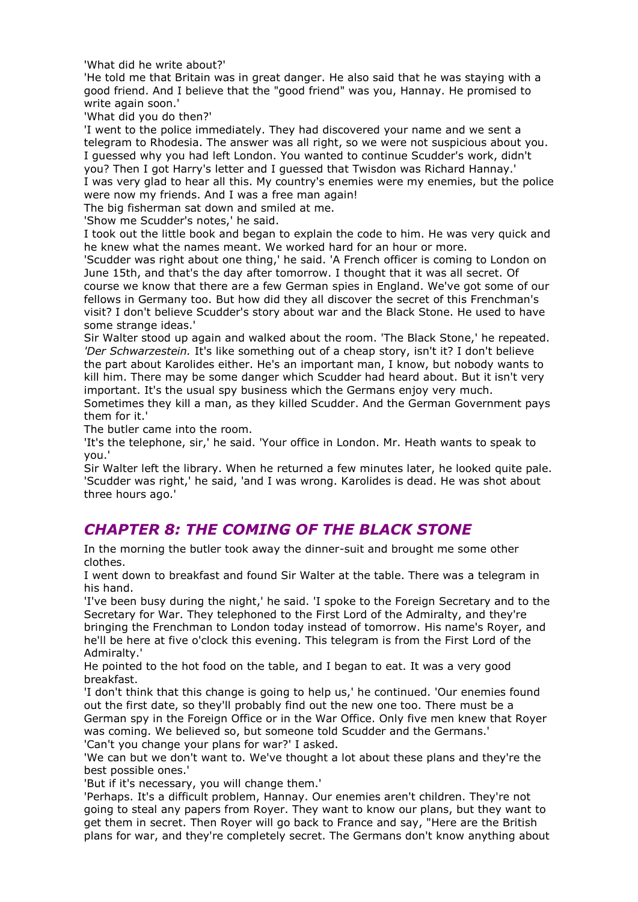'What did he write about?'

'He told me that Britain was in great danger. He also said that he was staying with a good friend. And I believe that the "good friend" was you, Hannay. He promised to write again soon.'

'What did you do then?'

'I went to the police immediately. They had discovered your name and we sent a telegram to Rhodesia. The answer was all right, so we were not suspicious about you. I guessed why you had left London. You wanted to continue Scudder's work, didn't you? Then I got Harry's letter and I guessed that Twisdon was Richard Hannay.' I was very glad to hear all this. My country's enemies were my enemies, but the police were now my friends. And I was a free man again!

The big fisherman sat down and smiled at me.

'Show me Scudder's notes,' he said.

I took out the little book and began to explain the code to him. He was very quick and he knew what the names meant. We worked hard for an hour or more.

'Scudder was right about one thing,' he said. 'A French officer is coming to London on June 15th, and that's the day after tomorrow. I thought that it was all secret. Of course we know that there are a few German spies in England. We've got some of our fellows in Germany too. But how did they all discover the secret of this Frenchman's visit? I don't believe Scudder's story about war and the Black Stone. He used to have some strange ideas.'

Sir Walter stood up again and walked about the room. 'The Black Stone,' he repeated. *'Der Schwarzestein.* It's like something out of a cheap story, isn't it? I don't believe the part about Karolides either. He's an important man, I know, but nobody wants to kill him. There may be some danger which Scudder had heard about. But it isn't very important. It's the usual spy business which the Germans enjoy very much.

Sometimes they kill a man, as they killed Scudder. And the German Government pays them for it.'

The butler came into the room.

'It's the telephone, sir,' he said. 'Your office in London. Mr. Heath wants to speak to you.'

Sir Walter left the library. When he returned a few minutes later, he looked quite pale. 'Scudder was right,' he said, 'and I was wrong. Karolides is dead. He was shot about three hours ago.'

#### *CHAPTER 8: THE COMING OF THE BLACK STONE*

In the morning the butler took away the dinner-suit and brought me some other clothes.

I went down to breakfast and found Sir Walter at the table. There was a telegram in his hand.

'I've been busy during the night,' he said. 'I spoke to the Foreign Secretary and to the Secretary for War. They telephoned to the First Lord of the Admiralty, and they're bringing the Frenchman to London today instead of tomorrow. His name's Royer, and he'll be here at five o'clock this evening. This telegram is from the First Lord of the Admiralty.'

He pointed to the hot food on the table, and I began to eat. It was a very good breakfast.

'I don't think that this change is going to help us,' he continued. 'Our enemies found out the first date, so they'll probably find out the new one too. There must be a German spy in the Foreign Office or in the War Office. Only five men knew that Royer was coming. We believed so, but someone told Scudder and the Germans.' 'Can't you change your plans for war?' I asked.

'We can but we don't want to. We've thought a lot about these plans and they're the best possible ones.'

'But if it's necessary, you will change them.'

'Perhaps. It's a difficult problem, Hannay. Our enemies aren't children. They're not going to steal any papers from Royer. They want to know our plans, but they want to get them in secret. Then Royer will go back to France and say, "Here are the British plans for war, and they're completely secret. The Germans don't know anything about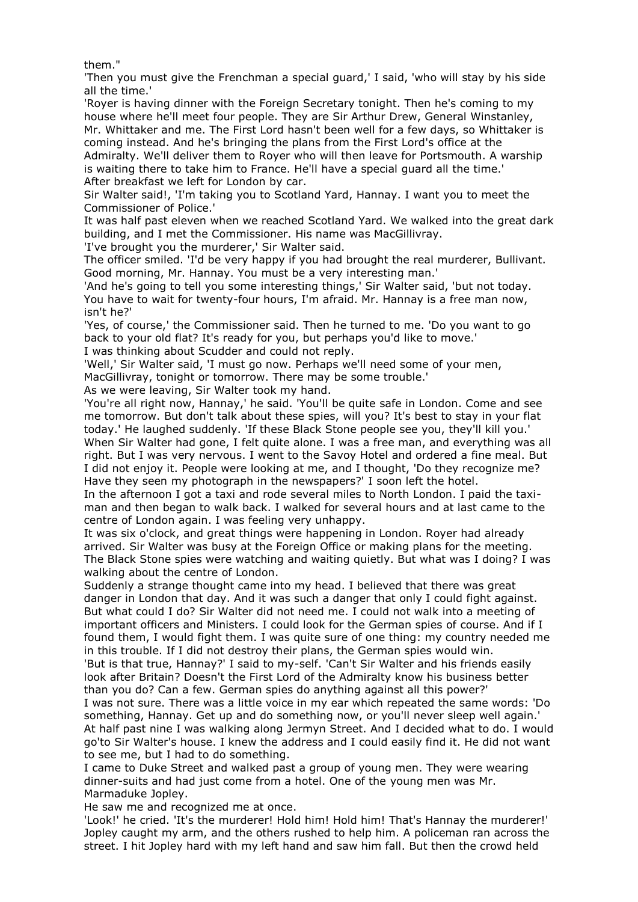them."

'Then you must give the Frenchman a special guard,' I said, 'who will stay by his side all the time.'

'Royer is having dinner with the Foreign Secretary tonight. Then he's coming to my house where he'll meet four people. They are Sir Arthur Drew, General Winstanley, Mr. Whittaker and me. The First Lord hasn't been well for a few days, so Whittaker is coming instead. And he's bringing the plans from the First Lord's office at the Admiralty. We'll deliver them to Royer who will then leave for Portsmouth. A warship is waiting there to take him to France. He'll have a special guard all the time.'

After breakfast we left for London by car.

Sir Walter said!, 'I'm taking you to Scotland Yard, Hannay. I want you to meet the Commissioner of Police.'

It was half past eleven when we reached Scotland Yard. We walked into the great dark building, and I met the Commissioner. His name was MacGillivray.

'I've brought you the murderer,' Sir Walter said.

The officer smiled. 'I'd be very happy if you had brought the real murderer, Bullivant. Good morning, Mr. Hannay. You must be a very interesting man.'

'And he's going to tell you some interesting things,' Sir Walter said, 'but not today. You have to wait for twenty-four hours, I'm afraid. Mr. Hannay is a free man now, isn't he?'

'Yes, of course,' the Commissioner said. Then he turned to me. 'Do you want to go back to your old flat? It's ready for you, but perhaps you'd like to move.' I was thinking about Scudder and could not reply.

'Well,' Sir Walter said, 'I must go now. Perhaps we'll need some of your men, MacGillivray, tonight or tomorrow. There may be some trouble.'

As we were leaving, Sir Walter took my hand.

'You're all right now, Hannay,' he said. 'You'll be quite safe in London. Come and see me tomorrow. But don't talk about these spies, will you? It's best to stay in your flat today.' He laughed suddenly. 'If these Black Stone people see you, they'll kill you.' When Sir Walter had gone, I felt quite alone. I was a free man, and everything was all right. But I was very nervous. I went to the Savoy Hotel and ordered a fine meal. But I did not enjoy it. People were looking at me, and I thought, 'Do they recognize me? Have they seen my photograph in the newspapers?' I soon left the hotel.

In the afternoon I got a taxi and rode several miles to North London. I paid the taximan and then began to walk back. I walked for several hours and at last came to the centre of London again. I was feeling very unhappy.

It was six o'clock, and great things were happening in London. Royer had already arrived. Sir Walter was busy at the Foreign Office or making plans for the meeting. The Black Stone spies were watching and waiting quietly. But what was I doing? I was walking about the centre of London.

Suddenly a strange thought came into my head. I believed that there was great danger in London that day. And it was such a danger that only I could fight against. But what could I do? Sir Walter did not need me. I could not walk into a meeting of important officers and Ministers. I could look for the German spies of course. And if I found them, I would fight them. I was quite sure of one thing: my country needed me in this trouble. If I did not destroy their plans, the German spies would win.

'But is that true, Hannay?' I said to my-self. 'Can't Sir Walter and his friends easily look after Britain? Doesn't the First Lord of the Admiralty know his business better than you do? Can a few. German spies do anything against all this power?'

I was not sure. There was a little voice in my ear which repeated the same words: 'Do something, Hannay. Get up and do something now, or you'll never sleep well again.' At half past nine I was walking along Jermyn Street. And I decided what to do. I would go'to Sir Walter's house. I knew the address and I could easily find it. He did not want to see me, but I had to do something.

I came to Duke Street and walked past a group of young men. They were wearing dinner-suits and had just come from a hotel. One of the young men was Mr. Marmaduke Jopley.

He saw me and recognized me at once.

'Look!' he cried. 'It's the murderer! Hold him! Hold him! That's Hannay the murderer!' Jopley caught my arm, and the others rushed to help him. A policeman ran across the street. I hit Jopley hard with my left hand and saw him fall. But then the crowd held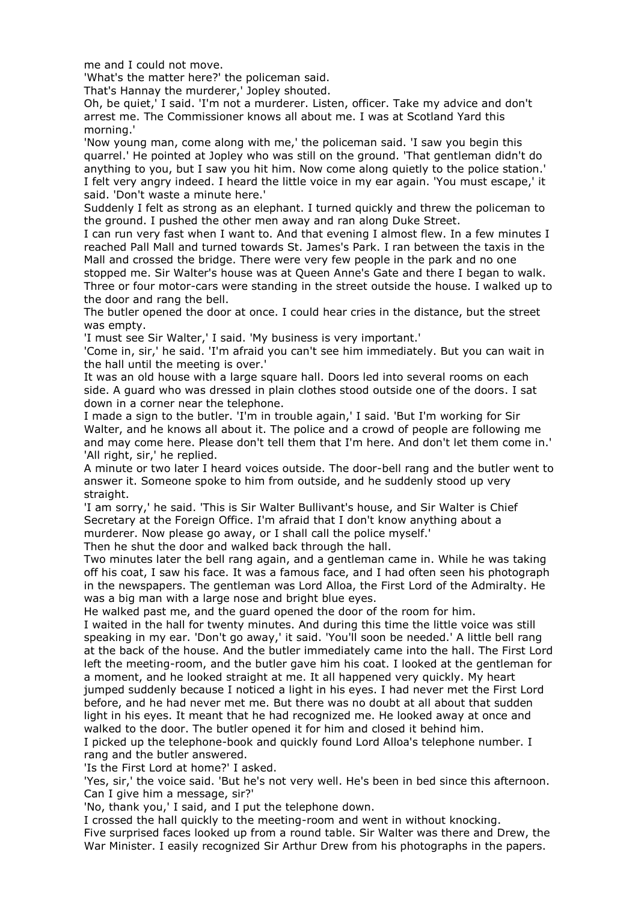me and I could not move.

'What's the matter here?' the policeman said.

That's Hannay the murderer,' Jopley shouted.

Oh, be quiet,' I said. 'I'm not a murderer. Listen, officer. Take my advice and don't arrest me. The Commissioner knows all about me. I was at Scotland Yard this morning.'

'Now young man, come along with me,' the policeman said. 'I saw you begin this quarrel.' He pointed at Jopley who was still on the ground. 'That gentleman didn't do anything to you, but I saw you hit him. Now come along quietly to the police station.' I felt very angry indeed. I heard the little voice in my ear again. 'You must escape,' it said. 'Don't waste a minute here.'

Suddenly I felt as strong as an elephant. I turned quickly and threw the policeman to the ground. I pushed the other men away and ran along Duke Street.

I can run very fast when I want to. And that evening I almost flew. In a few minutes I reached Pall Mall and turned towards St. James's Park. I ran between the taxis in the Mall and crossed the bridge. There were very few people in the park and no one

stopped me. Sir Walter's house was at Queen Anne's Gate and there I began to walk. Three or four motor-cars were standing in the street outside the house. I walked up to the door and rang the bell.

The butler opened the door at once. I could hear cries in the distance, but the street was empty.

'I must see Sir Walter,' I said. 'My business is very important.'

'Come in, sir,' he said. 'I'm afraid you can't see him immediately. But you can wait in the hall until the meeting is over.'

It was an old house with a large square hall. Doors led into several rooms on each side. A guard who was dressed in plain clothes stood outside one of the doors. I sat down in a corner near the telephone.

I made a sign to the butler. 'I'm in trouble again,' I said. 'But I'm working for Sir Walter, and he knows all about it. The police and a crowd of people are following me and may come here. Please don't tell them that I'm here. And don't let them come in.' 'All right, sir,' he replied.

A minute or two later I heard voices outside. The door-bell rang and the butler went to answer it. Someone spoke to him from outside, and he suddenly stood up very straight.

'I am sorry,' he said. 'This is Sir Walter Bullivant's house, and Sir Walter is Chief Secretary at the Foreign Office. I'm afraid that I don't know anything about a murderer. Now please go away, or I shall call the police myself.'

Then he shut the door and walked back through the hall.

Two minutes later the bell rang again, and a gentleman came in. While he was taking off his coat, I saw his face. It was a famous face, and I had often seen his photograph in the newspapers. The gentleman was Lord Alloa, the First Lord of the Admiralty. He was a big man with a large nose and bright blue eyes.

He walked past me, and the guard opened the door of the room for him.

I waited in the hall for twenty minutes. And during this time the little voice was still speaking in my ear. 'Don't go away,' it said. 'You'll soon be needed.' A little bell rang at the back of the house. And the butler immediately came into the hall. The First Lord left the meeting-room, and the butler gave him his coat. I looked at the gentleman for a moment, and he looked straight at me. It all happened very quickly. My heart jumped suddenly because I noticed a light in his eyes. I had never met the First Lord before, and he had never met me. But there was no doubt at all about that sudden light in his eyes. It meant that he had recognized me. He looked away at once and walked to the door. The butler opened it for him and closed it behind him.

I picked up the telephone-book and quickly found Lord Alloa's telephone number. I rang and the butler answered.

'Is the First Lord at home?' I asked.

'Yes, sir,' the voice said. 'But he's not very well. He's been in bed since this afternoon. Can I give him a message, sir?'

'No, thank you,' I said, and I put the telephone down.

I crossed the hall quickly to the meeting-room and went in without knocking. Five surprised faces looked up from a round table. Sir Walter was there and Drew, the War Minister. I easily recognized Sir Arthur Drew from his photographs in the papers.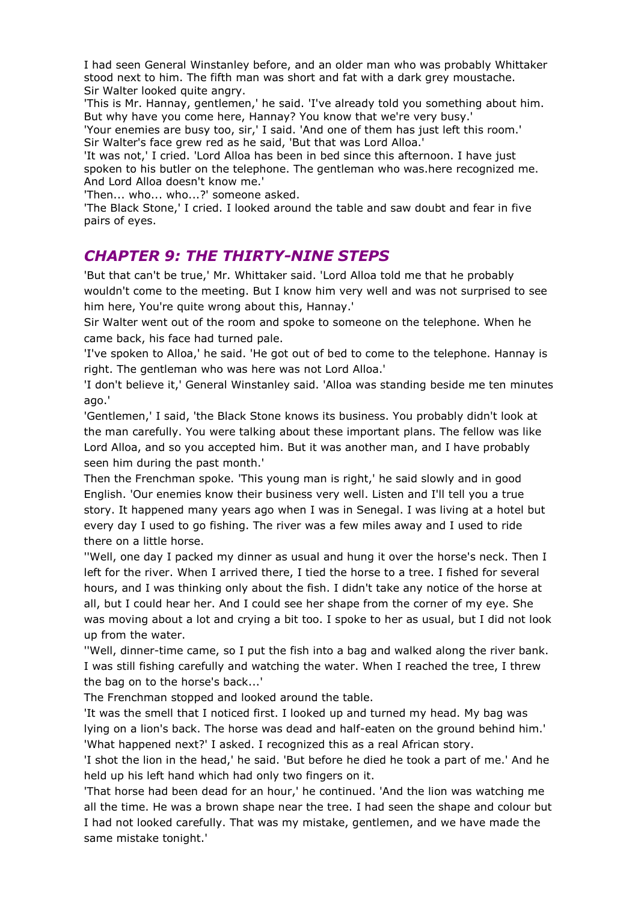I had seen General Winstanley before, and an older man who was probably Whittaker stood next to him. The fifth man was short and fat with a dark grey moustache. Sir Walter looked quite angry.

'This is Mr. Hannay, gentlemen,' he said. 'I've already told you something about him. But why have you come here, Hannay? You know that we're very busy.'

'Your enemies are busy too, sir,' I said. 'And one of them has just left this room.' Sir Walter's face grew red as he said, 'But that was Lord Alloa.'

'It was not,' I cried. 'Lord Alloa has been in bed since this afternoon. I have just spoken to his butler on the telephone. The gentleman who was.here recognized me. And Lord Alloa doesn't know me.'

'Then... who... who...?' someone asked.

'The Black Stone,' I cried. I looked around the table and saw doubt and fear in five pairs of eyes.

#### *CHAPTER 9: THE THIRTY-NINE STEPS*

'But that can't be true,' Mr. Whittaker said. 'Lord Alloa told me that he probably wouldn't come to the meeting. But I know him very well and was not surprised to see him here, You're quite wrong about this, Hannay.'

Sir Walter went out of the room and spoke to someone on the telephone. When he came back, his face had turned pale.

'I've spoken to Alloa,' he said. 'He got out of bed to come to the telephone. Hannay is right. The gentleman who was here was not Lord Alloa.'

'I don't believe it,' General Winstanley said. 'Alloa was standing beside me ten minutes ago.'

'Gentlemen,' I said, 'the Black Stone knows its business. You probably didn't look at the man carefully. You were talking about these important plans. The fellow was like Lord Alloa, and so you accepted him. But it was another man, and I have probably seen him during the past month.'

Then the Frenchman spoke. 'This young man is right,' he said slowly and in good English. 'Our enemies know their business very well. Listen and I'll tell you a true story. It happened many years ago when I was in Senegal. I was living at a hotel but every day I used to go fishing. The river was a few miles away and I used to ride there on a little horse.

''Well, one day I packed my dinner as usual and hung it over the horse's neck. Then I left for the river. When I arrived there, I tied the horse to a tree. I fished for several hours, and I was thinking only about the fish. I didn't take any notice of the horse at all, but I could hear her. And I could see her shape from the corner of my eye. She was moving about a lot and crying a bit too. I spoke to her as usual, but I did not look up from the water.

''Well, dinner-time came, so I put the fish into a bag and walked along the river bank. I was still fishing carefully and watching the water. When I reached the tree, I threw the bag on to the horse's back...'

The Frenchman stopped and looked around the table.

'It was the smell that I noticed first. I looked up and turned my head. My bag was lying on a lion's back. The horse was dead and half-eaten on the ground behind him.' 'What happened next?' I asked. I recognized this as a real African story.

'I shot the lion in the head,' he said. 'But before he died he took a part of me.' And he held up his left hand which had only two fingers on it.

'That horse had been dead for an hour,' he continued. 'And the lion was watching me all the time. He was a brown shape near the tree. I had seen the shape and colour but I had not looked carefully. That was my mistake, gentlemen, and we have made the same mistake tonight.'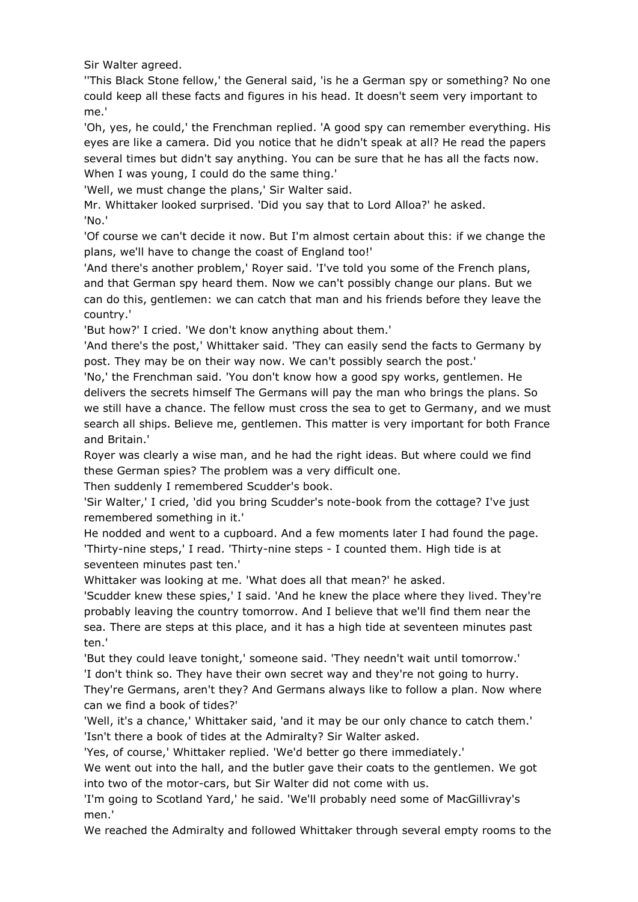Sir Walter agreed.

''This Black Stone fellow,' the General said, 'is he a German spy or something? No one could keep all these facts and figures in his head. It doesn't seem very important to me.'

'Oh, yes, he could,' the Frenchman replied. 'A good spy can remember everything. His eyes are like a camera. Did you notice that he didn't speak at all? He read the papers several times but didn't say anything. You can be sure that he has all the facts now. When I was young, I could do the same thing.'

'Well, we must change the plans,' Sir Walter said.

Mr. Whittaker looked surprised. 'Did you say that to Lord Alloa?' he asked. 'No.'

'Of course we can't decide it now. But I'm almost certain about this: if we change the plans, we'll have to change the coast of England too!'

'And there's another problem,' Royer said. 'I've told you some of the French plans, and that German spy heard them. Now we can't possibly change our plans. But we can do this, gentlemen: we can catch that man and his friends before they leave the country.'

'But how?' I cried. 'We don't know anything about them.'

'And there's the post,' Whittaker said. 'They can easily send the facts to Germany by post. They may be on their way now. We can't possibly search the post.'

'No,' the Frenchman said. 'You don't know how a good spy works, gentlemen. He delivers the secrets himself The Germans will pay the man who brings the plans. So we still have a chance. The fellow must cross the sea to get to Germany, and we must search all ships. Believe me, gentlemen. This matter is very important for both France and Britain.'

Royer was clearly a wise man, and he had the right ideas. But where could we find these German spies? The problem was a very difficult one.

Then suddenly I remembered Scudder's book.

'Sir Walter,' I cried, 'did you bring Scudder's note-book from the cottage? I've just remembered something in it.'

He nodded and went to a cupboard. And a few moments later I had found the page. 'Thirty-nine steps,' I read. 'Thirty-nine steps - I counted them. High tide is at seventeen minutes past ten.'

Whittaker was looking at me. 'What does all that mean?' he asked.

'Scudder knew these spies,' I said. 'And he knew the place where they lived. They're probably leaving the country tomorrow. And I believe that we'll find them near the sea. There are steps at this place, and it has a high tide at seventeen minutes past ten.'

'But they could leave tonight,' someone said. 'They needn't wait until tomorrow.' 'I don't think so. They have their own secret way and they're not going to hurry.

They're Germans, aren't they? And Germans always like to follow a plan. Now where can we find a book of tides?'

'Well, it's a chance,' Whittaker said, 'and it may be our only chance to catch them.' 'Isn't there a book of tides at the Admiralty? Sir Walter asked.

'Yes, of course,' Whittaker replied. 'We'd better go there immediately.'

We went out into the hall, and the butler gave their coats to the gentlemen. We got into two of the motor-cars, but Sir Walter did not come with us.

'I'm going to Scotland Yard,' he said. 'We'll probably need some of MacGillivray's men.'

We reached the Admiralty and followed Whittaker through several empty rooms to the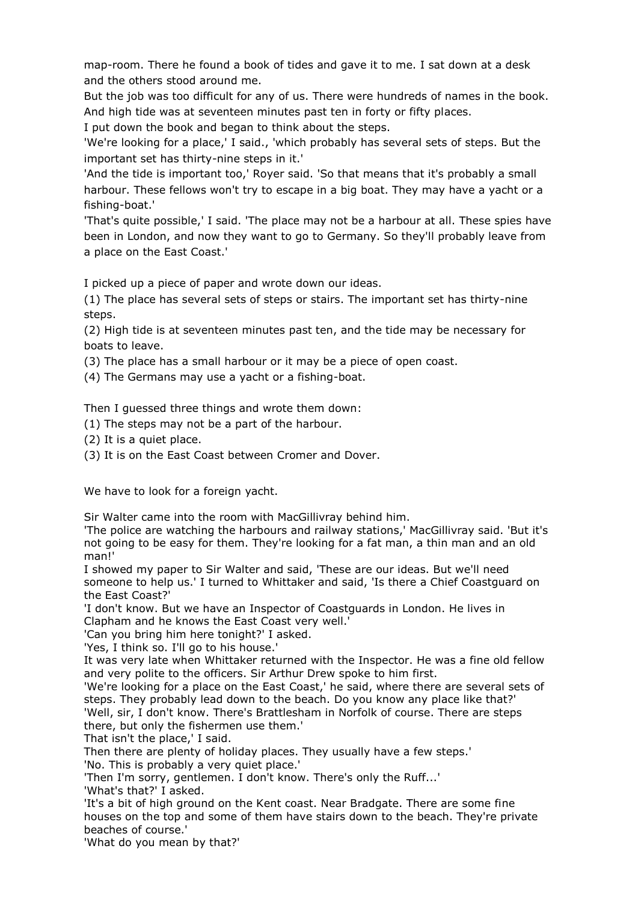map-room. There he found a book of tides and gave it to me. I sat down at a desk and the others stood around me.

But the job was too difficult for any of us. There were hundreds of names in the book. And high tide was at seventeen minutes past ten in forty or fifty places.

I put down the book and began to think about the steps.

'We're looking for a place,' I said., 'which probably has several sets of steps. But the important set has thirty-nine steps in it.'

'And the tide is important too,' Royer said. 'So that means that it's probably a small harbour. These fellows won't try to escape in a big boat. They may have a yacht or a fishing-boat.'

'That's quite possible,' I said. 'The place may not be a harbour at all. These spies have been in London, and now they want to go to Germany. So they'll probably leave from a place on the East Coast.'

I picked up a piece of paper and wrote down our ideas.

(1) The place has several sets of steps or stairs. The important set has thirty-nine steps.

(2) High tide is at seventeen minutes past ten, and the tide may be necessary for boats to leave.

(3) The place has a small harbour or it may be a piece of open coast.

(4) The Germans may use a yacht or a fishing-boat.

Then I guessed three things and wrote them down:

- (1) The steps may not be a part of the harbour.
- (2) It is a quiet place.
- (3) It is on the East Coast between Cromer and Dover.

We have to look for a foreign vacht.

Sir Walter came into the room with MacGillivray behind him.

'The police are watching the harbours and railway stations,' MacGillivray said. 'But it's not going to be easy for them. They're looking for a fat man, a thin man and an old man!'

I showed my paper to Sir Walter and said, 'These are our ideas. But we'll need someone to help us.' I turned to Whittaker and said, 'Is there a Chief Coastguard on the East Coast?'

'I don't know. But we have an Inspector of Coastguards in London. He lives in Clapham and he knows the East Coast very well.'

'Can you bring him here tonight?' I asked.

'Yes, I think so. I'll go to his house.'

It was very late when Whittaker returned with the Inspector. He was a fine old fellow and very polite to the officers. Sir Arthur Drew spoke to him first.

'We're looking for a place on the East Coast,' he said, where there are several sets of steps. They probably lead down to the beach. Do you know any place like that?' 'Well, sir, I don't know. There's Brattlesham in Norfolk of course. There are steps there, but only the fishermen use them.'

That isn't the place,' I said.

Then there are plenty of holiday places. They usually have a few steps.' 'No. This is probably a very quiet place.'

'Then I'm sorry, gentlemen. I don't know. There's only the Ruff...'

'What's that?' I asked.

'It's a bit of high ground on the Kent coast. Near Bradgate. There are some fine houses on the top and some of them have stairs down to the beach. They're private beaches of course.'

'What do you mean by that?'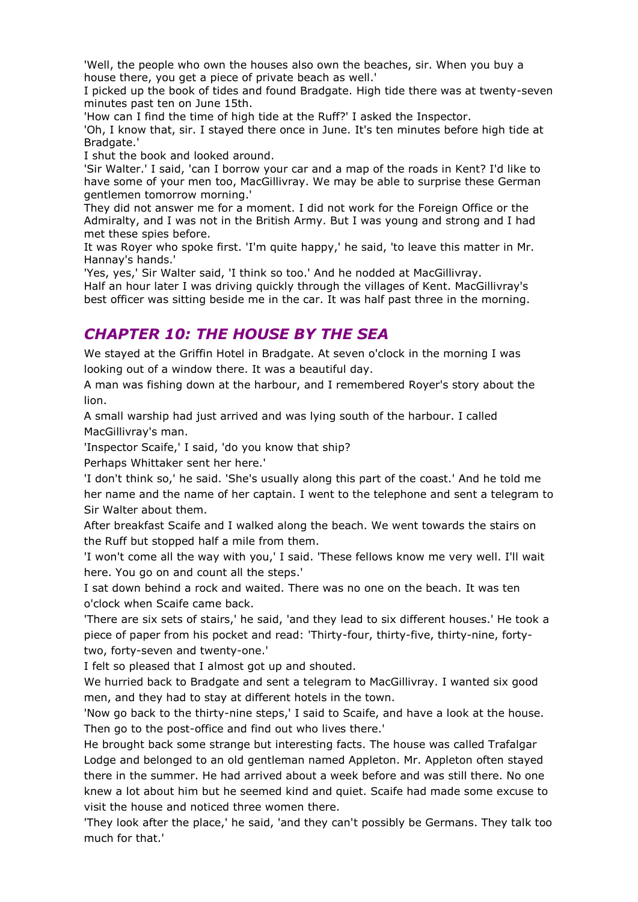'Well, the people who own the houses also own the beaches, sir. When you buy a house there, you get a piece of private beach as well.'

I picked up the book of tides and found Bradgate. High tide there was at twenty-seven minutes past ten on June 15th.

'How can I find the time of high tide at the Ruff?' I asked the Inspector.

'Oh, I know that, sir. I stayed there once in June. It's ten minutes before high tide at Bradgate.'

I shut the book and looked around.

'Sir Walter.' I said, 'can I borrow your car and a map of the roads in Kent? I'd like to have some of your men too, MacGillivray. We may be able to surprise these German gentlemen tomorrow morning.'

They did not answer me for a moment. I did not work for the Foreign Office or the Admiralty, and I was not in the British Army. But I was young and strong and I had met these spies before.

It was Royer who spoke first. 'I'm quite happy,' he said, 'to leave this matter in Mr. Hannay's hands.'

'Yes, yes,' Sir Walter said, 'I think so too.' And he nodded at MacGillivray.

Half an hour later I was driving quickly through the villages of Kent. MacGillivray's best officer was sitting beside me in the car. It was half past three in the morning.

#### *CHAPTER 10: THE HOUSE BY THE SEA*

We stayed at the Griffin Hotel in Bradgate. At seven o'clock in the morning I was looking out of a window there. It was a beautiful day.

A man was fishing down at the harbour, and I remembered Royer's story about the lion.

A small warship had just arrived and was lying south of the harbour. I called MacGillivray's man.

'Inspector Scaife,' I said, 'do you know that ship?

Perhaps Whittaker sent her here.'

'I don't think so,' he said. 'She's usually along this part of the coast.' And he told me her name and the name of her captain. I went to the telephone and sent a telegram to Sir Walter about them.

After breakfast Scaife and I walked along the beach. We went towards the stairs on the Ruff but stopped half a mile from them.

'I won't come all the way with you,' I said. 'These fellows know me very well. I'll wait here. You go on and count all the steps.'

I sat down behind a rock and waited. There was no one on the beach. It was ten o'clock when Scaife came back.

'There are six sets of stairs,' he said, 'and they lead to six different houses.' He took a piece of paper from his pocket and read: 'Thirty-four, thirty-five, thirty-nine, fortytwo, forty-seven and twenty-one.'

I felt so pleased that I almost got up and shouted.

We hurried back to Bradgate and sent a telegram to MacGillivray. I wanted six good men, and they had to stay at different hotels in the town.

'Now go back to the thirty-nine steps,' I said to Scaife, and have a look at the house. Then go to the post-office and find out who lives there.'

He brought back some strange but interesting facts. The house was called Trafalgar Lodge and belonged to an old gentleman named Appleton. Mr. Appleton often stayed there in the summer. He had arrived about a week before and was still there. No one knew a lot about him but he seemed kind and quiet. Scaife had made some excuse to visit the house and noticed three women there.

'They look after the place,' he said, 'and they can't possibly be Germans. They talk too much for that.'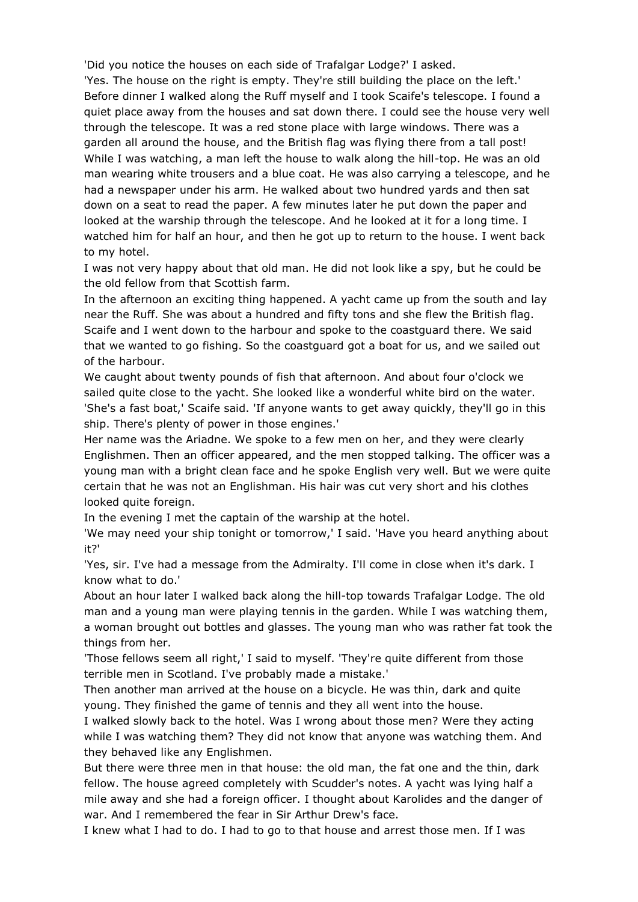'Did you notice the houses on each side of Trafalgar Lodge?' I asked. 'Yes. The house on the right is empty. They're still building the place on the left.' Before dinner I walked along the Ruff myself and I took Scaife's telescope. I found a quiet place away from the houses and sat down there. I could see the house very well through the telescope. It was a red stone place with large windows. There was a garden all around the house, and the British flag was flying there from a tall post! While I was watching, a man left the house to walk along the hill-top. He was an old man wearing white trousers and a blue coat. He was also carrying a telescope, and he had a newspaper under his arm. He walked about two hundred yards and then sat down on a seat to read the paper. A few minutes later he put down the paper and looked at the warship through the telescope. And he looked at it for a long time. I watched him for half an hour, and then he got up to return to the house. I went back to my hotel.

I was not very happy about that old man. He did not look like a spy, but he could be the old fellow from that Scottish farm.

In the afternoon an exciting thing happened. A yacht came up from the south and lay near the Ruff. She was about a hundred and fifty tons and she flew the British flag. Scaife and I went down to the harbour and spoke to the coastguard there. We said that we wanted to go fishing. So the coastguard got a boat for us, and we sailed out of the harbour.

We caught about twenty pounds of fish that afternoon. And about four o'clock we sailed quite close to the yacht. She looked like a wonderful white bird on the water. 'She's a fast boat,' Scaife said. 'If anyone wants to get away quickly, they'll go in this ship. There's plenty of power in those engines.'

Her name was the Ariadne. We spoke to a few men on her, and they were clearly Englishmen. Then an officer appeared, and the men stopped talking. The officer was a young man with a bright clean face and he spoke English very well. But we were quite certain that he was not an Englishman. His hair was cut very short and his clothes looked quite foreign.

In the evening I met the captain of the warship at the hotel.

'We may need your ship tonight or tomorrow,' I said. 'Have you heard anything about it?'

'Yes, sir. I've had a message from the Admiralty. I'll come in close when it's dark. I know what to do.'

About an hour later I walked back along the hill-top towards Trafalgar Lodge. The old man and a young man were playing tennis in the garden. While I was watching them, a woman brought out bottles and glasses. The young man who was rather fat took the things from her.

'Those fellows seem all right,' I said to myself. 'They're quite different from those terrible men in Scotland. I've probably made a mistake.'

Then another man arrived at the house on a bicycle. He was thin, dark and quite young. They finished the game of tennis and they all went into the house.

I walked slowly back to the hotel. Was I wrong about those men? Were they acting while I was watching them? They did not know that anyone was watching them. And they behaved like any Englishmen.

But there were three men in that house: the old man, the fat one and the thin, dark fellow. The house agreed completely with Scudder's notes. A yacht was lying half a mile away and she had a foreign officer. I thought about Karolides and the danger of war. And I remembered the fear in Sir Arthur Drew's face.

I knew what I had to do. I had to go to that house and arrest those men. If I was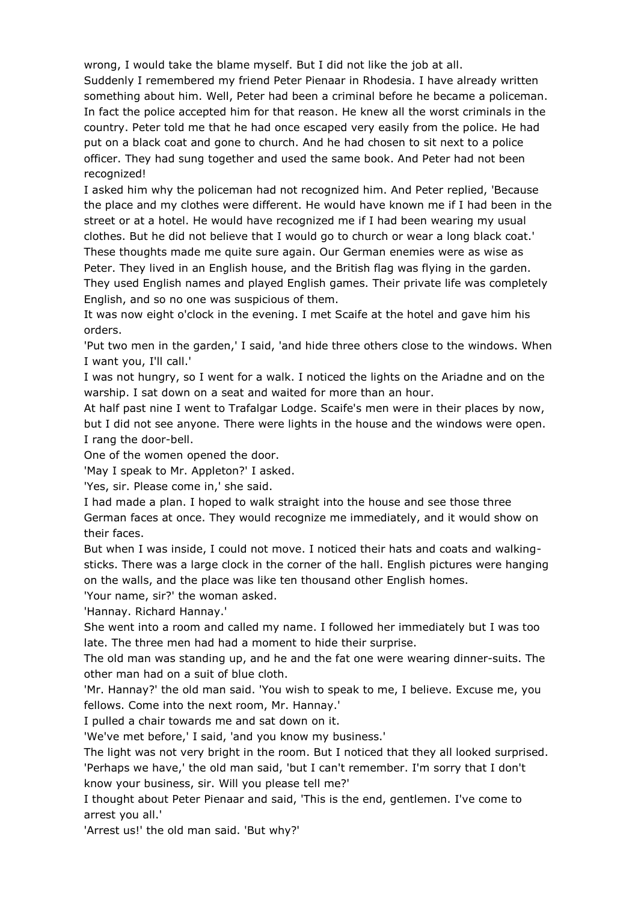wrong, I would take the blame myself. But I did not like the job at all. Suddenly I remembered my friend Peter Pienaar in Rhodesia. I have already written something about him. Well, Peter had been a criminal before he became a policeman. In fact the police accepted him for that reason. He knew all the worst criminals in the country. Peter told me that he had once escaped very easily from the police. He had put on a black coat and gone to church. And he had chosen to sit next to a police officer. They had sung together and used the same book. And Peter had not been recognized!

I asked him why the policeman had not recognized him. And Peter replied, 'Because the place and my clothes were different. He would have known me if I had been in the street or at a hotel. He would have recognized me if I had been wearing my usual clothes. But he did not believe that I would go to church or wear a long black coat.' These thoughts made me quite sure again. Our German enemies were as wise as Peter. They lived in an English house, and the British flag was flying in the garden. They used English names and played English games. Their private life was completely English, and so no one was suspicious of them.

It was now eight o'clock in the evening. I met Scaife at the hotel and gave him his orders.

'Put two men in the garden,' I said, 'and hide three others close to the windows. When I want you, I'll call.'

I was not hungry, so I went for a walk. I noticed the lights on the Ariadne and on the warship. I sat down on a seat and waited for more than an hour.

At half past nine I went to Trafalgar Lodge. Scaife's men were in their places by now, but I did not see anyone. There were lights in the house and the windows were open. I rang the door-bell.

One of the women opened the door.

'May I speak to Mr. Appleton?' I asked.

'Yes, sir. Please come in,' she said.

I had made a plan. I hoped to walk straight into the house and see those three German faces at once. They would recognize me immediately, and it would show on their faces.

But when I was inside, I could not move. I noticed their hats and coats and walkingsticks. There was a large clock in the corner of the hall. English pictures were hanging on the walls, and the place was like ten thousand other English homes.

'Your name, sir?' the woman asked.

'Hannay. Richard Hannay.'

She went into a room and called my name. I followed her immediately but I was too late. The three men had had a moment to hide their surprise.

The old man was standing up, and he and the fat one were wearing dinner-suits. The other man had on a suit of blue cloth.

'Mr. Hannay?' the old man said. 'You wish to speak to me, I believe. Excuse me, you fellows. Come into the next room, Mr. Hannay.'

I pulled a chair towards me and sat down on it.

'We've met before,' I said, 'and you know my business.'

The light was not very bright in the room. But I noticed that they all looked surprised. 'Perhaps we have,' the old man said, 'but I can't remember. I'm sorry that I don't know your business, sir. Will you please tell me?'

I thought about Peter Pienaar and said, 'This is the end, gentlemen. I've come to arrest you all.'

'Arrest us!' the old man said. 'But why?'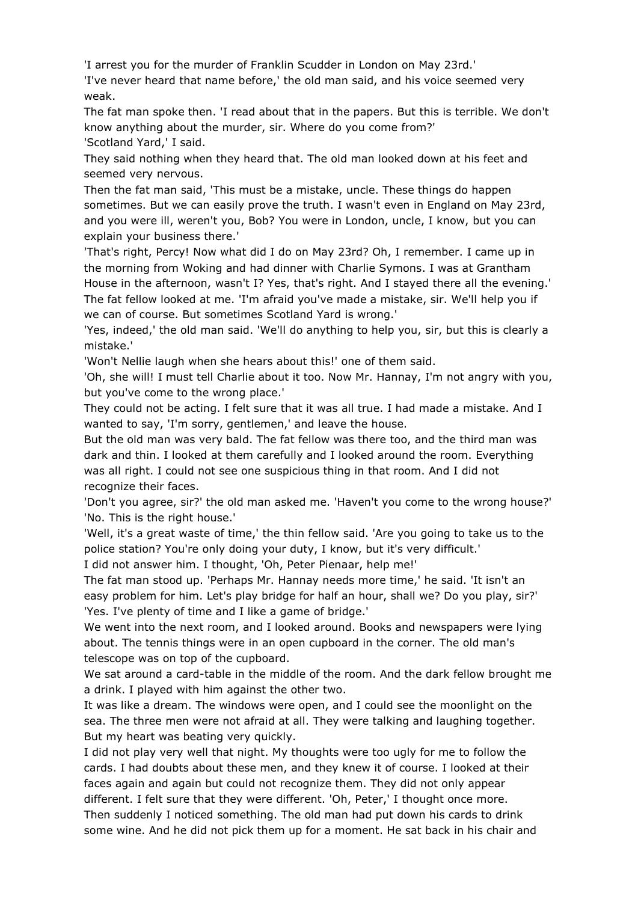'I arrest you for the murder of Franklin Scudder in London on May 23rd.'

'I've never heard that name before,' the old man said, and his voice seemed very weak.

The fat man spoke then. 'I read about that in the papers. But this is terrible. We don't know anything about the murder, sir. Where do you come from?' 'Scotland Yard,' I said.

They said nothing when they heard that. The old man looked down at his feet and seemed very nervous.

Then the fat man said, 'This must be a mistake, uncle. These things do happen sometimes. But we can easily prove the truth. I wasn't even in England on May 23rd, and you were ill, weren't you, Bob? You were in London, uncle, I know, but you can explain your business there.'

'That's right, Percy! Now what did I do on May 23rd? Oh, I remember. I came up in the morning from Woking and had dinner with Charlie Symons. I was at Grantham House in the afternoon, wasn't I? Yes, that's right. And I stayed there all the evening.' The fat fellow looked at me. 'I'm afraid you've made a mistake, sir. We'll help you if we can of course. But sometimes Scotland Yard is wrong.'

'Yes, indeed,' the old man said. 'We'll do anything to help you, sir, but this is clearly a mistake.'

'Won't Nellie laugh when she hears about this!' one of them said.

'Oh, she will! I must tell Charlie about it too. Now Mr. Hannay, I'm not angry with you, but you've come to the wrong place.'

They could not be acting. I felt sure that it was all true. I had made a mistake. And I wanted to say, 'I'm sorry, gentlemen,' and leave the house.

But the old man was very bald. The fat fellow was there too, and the third man was dark and thin. I looked at them carefully and I looked around the room. Everything was all right. I could not see one suspicious thing in that room. And I did not recognize their faces.

'Don't you agree, sir?' the old man asked me. 'Haven't you come to the wrong house?' 'No. This is the right house.'

'Well, it's a great waste of time,' the thin fellow said. 'Are you going to take us to the police station? You're only doing your duty, I know, but it's very difficult.'

I did not answer him. I thought, 'Oh, Peter Pienaar, help me!'

The fat man stood up. 'Perhaps Mr. Hannay needs more time,' he said. 'It isn't an easy problem for him. Let's play bridge for half an hour, shall we? Do you play, sir?' 'Yes. I've plenty of time and I like a game of bridge.'

We went into the next room, and I looked around. Books and newspapers were lying about. The tennis things were in an open cupboard in the corner. The old man's telescope was on top of the cupboard.

We sat around a card-table in the middle of the room. And the dark fellow brought me a drink. I played with him against the other two.

It was like a dream. The windows were open, and I could see the moonlight on the sea. The three men were not afraid at all. They were talking and laughing together. But my heart was beating very quickly.

I did not play very well that night. My thoughts were too ugly for me to follow the cards. I had doubts about these men, and they knew it of course. I looked at their faces again and again but could not recognize them. They did not only appear different. I felt sure that they were different. 'Oh, Peter,' I thought once more. Then suddenly I noticed something. The old man had put down his cards to drink some wine. And he did not pick them up for a moment. He sat back in his chair and